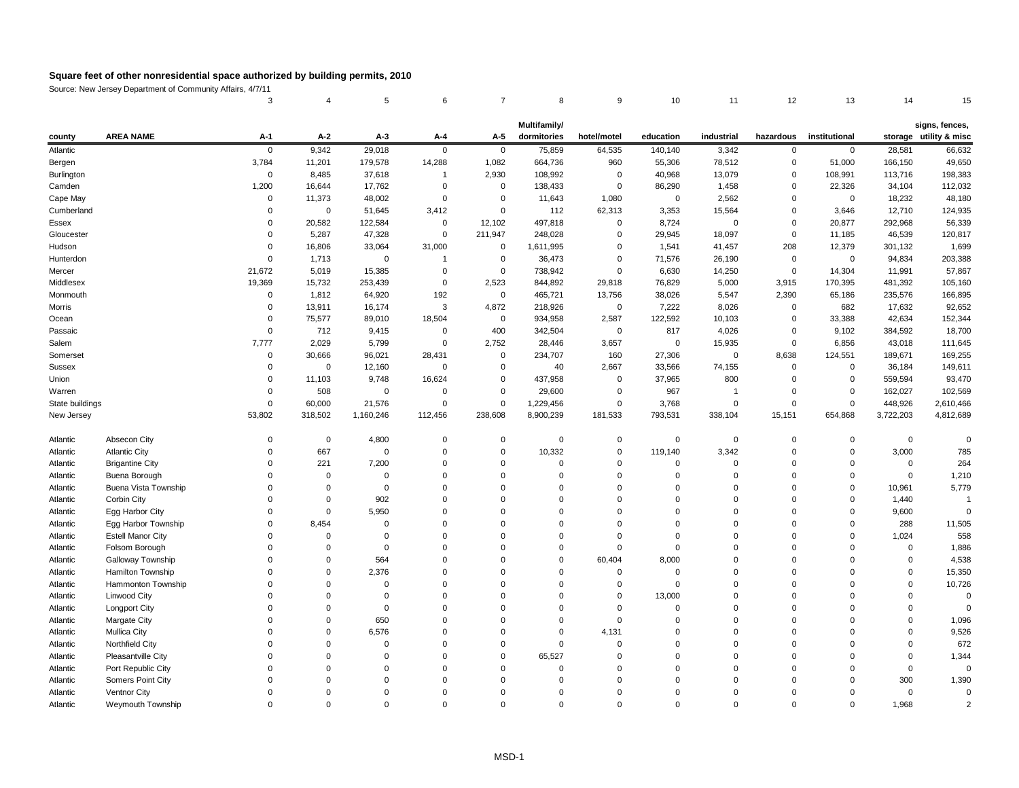Source: New Jersey Department of Community Affairs, 4/7/11

|  |  |  |  |  | 3     4     5     6     7     8     9     10     11     12     13     14     15 |  |
|--|--|--|--|--|---------------------------------------------------------------------------------|--|

| signs, fences |  |
|---------------|--|
|---------------|--|

| county          | <b>AREA NAME</b>         | $A-1$       | $A-2$          | $A-3$            | $A-4$            | $A-5$          | <b>Multifamily/</b><br>dormitories | hotel/motel    | education   | industrial     | hazardous      | institutional  |           | signs, fences,<br>storage utility & misc |
|-----------------|--------------------------|-------------|----------------|------------------|------------------|----------------|------------------------------------|----------------|-------------|----------------|----------------|----------------|-----------|------------------------------------------|
| Atlantic        |                          | $\pmb{0}$   | 9,342          | 29,018           | $\mathbf 0$      | $\overline{0}$ | 75,859                             | 64,535         | 140,140     | 3,342          | $\overline{0}$ | $\overline{0}$ | 28,581    | 66,632                                   |
| Bergen          |                          | 3,784       | 11,201         | 179,578          | 14,288           | 1,082          | 664,736                            | 960            | 55,306      | 78,512         | $\overline{0}$ | 51,000         | 166,150   | 49,650                                   |
| Burlington      |                          | $\mathbf 0$ | 8,485          | 37,618           | -1               | 2,930          | 108,992                            | 0              | 40,968      | 13,079         | $\mathbf 0$    | 108,991        | 113,716   | 198,383                                  |
| Camden          |                          | 1,200       | 16,644         | 17,762           | 0                | 0              | 138,433                            | 0              | 86,290      | 1,458          | $\mathbf 0$    | 22,326         | 34,104    | 112,032                                  |
| Cape May        |                          | 0           | 11,373         | 48,002           | $\mathbf 0$      | 0              | 11,643                             | 1,080          | $\mathbf 0$ | 2,562          | $\mathbf 0$    | $\overline{0}$ | 18,232    | 48,180                                   |
| Cumberland      |                          | 0           | $\overline{0}$ | 51,645           | 3,412            | 0              | 112                                | 62,313         | 3,353       | 15,564         | $\mathbf 0$    | 3,646          | 12,710    | 124,935                                  |
| Essex           |                          | $\Omega$    | 20,582         | 122,584          | $\overline{0}$   | 12,102         | 497,818                            | 0              | 8,724       | $\mathbf 0$    | $\mathbf 0$    | 20,877         | 292,968   | 56,339                                   |
| Gloucester      |                          | $\Omega$    | 5,287          | 47,328           | $\mathbf 0$      | 211,947        | 248,028                            | 0              | 29,945      | 18,097         | $\mathbf 0$    | 11,185         | 46,539    | 120,817                                  |
| Hudson          |                          | $\Omega$    | 16,806         | 33,064           | 31,000           | 0              | 1,611,995                          | 0              | 1,541       | 41,457         | 208            | 12,379         | 301,132   | 1,699                                    |
| Hunterdon       |                          | 0           | 1,713          | $\boldsymbol{0}$ |                  | 0              | 36,473                             | 0              | 71,576      | 26,190         | $\overline{0}$ | $\overline{0}$ | 94,834    | 203,388                                  |
| Mercer          |                          | 21,672      | 5,019          | 15,385           | 0                | 0              | 738,942                            | $\mathbf 0$    | 6,630       | 14,250         | $\mathbf 0$    | 14,304         | 11,991    | 57,867                                   |
| Middlesex       |                          | 19,369      | 15,732         | 253,439          | $\boldsymbol{0}$ | 2,523          | 844,892                            | 29,818         | 76,829      | 5,000          | 3,915          | 170,395        | 481,392   | 105,160                                  |
| Monmouth        |                          | 0           | 1,812          | 64,920           | 192              | $\overline{0}$ | 465,721                            | 13,756         | 38,026      | 5,547          | 2,390          | 65,186         | 235,576   | 166,895                                  |
| Morris          |                          | $\Omega$    | 13,911         | 16,174           | 3                | 4,872          | 218,926                            | $\overline{0}$ | 7,222       | 8,026          | $\mathbf 0$    | 682            | 17,632    | 92,652                                   |
| Ocean           |                          | $\Omega$    | 75,577         | 89,010           | 18,504           | $\overline{0}$ | 934,958                            | 2,587          | 122,592     | 10,103         | 0              | 33,388         | 42,634    | 152,344                                  |
| Passaic         |                          | $\Omega$    | 712            | 9,415            | $\mathbf 0$      | 400            | 342,504                            | $\overline{0}$ | 817         | 4,026          | 0              | 9,102          | 384,592   | 18,700                                   |
| Salem           |                          | 7,777       | 2,029          | 5,799            | $\mathbf 0$      | 2,752          | 28,446                             | 3,657          | $\mathbf 0$ | 15,935         | $\mathbf 0$    | 6,856          | 43,018    | 111,645                                  |
| Somerset        |                          | 0           | 30,666         | 96,021           | 28,431           | $\overline{0}$ | 234,707                            | 160            | 27,306      | $\overline{0}$ | 8,638          | 124,551        | 189,671   | 169,255                                  |
| <b>Sussex</b>   |                          | 0           | $\mathbf 0$    | 12,160           | $\boldsymbol{0}$ | $\mathbf 0$    | 40                                 | 2,667          | 33,566      | 74,155         | $\mathbf 0$    | $\overline{0}$ | 36,184    | 149,611                                  |
| Union           |                          | 0           | 11,103         | 9,748            | 16,624           | 0              | 437,958                            | 0              | 37,965      | 800            | 0              | $\overline{0}$ | 559,594   | 93,470                                   |
| Warren          |                          | $\Omega$    | 508            | 0                | 0                | 0              | 29,600                             | 0              | 967         | -1             | 0              | 0              | 162,027   | 102,569                                  |
| State buildings |                          | 0           | 60,000         | 21,576           | $\mathbf 0$      | 0              | 1,229,456                          | $\overline{0}$ | 3,768       | $\overline{0}$ | $\mathbf 0$    | $\overline{0}$ | 448,926   | 2,610,466                                |
| New Jersey      |                          | 53,802      | 318,502        | 1,160,246        | 112,456          | 238,608        | 8,900,239                          | 181,533        | 793,531     | 338,104        | 15,151         | 654,868        | 3,722,203 | 4,812,689                                |
| Atlantic        | Absecon City             | 0           | $\overline{0}$ | 4,800            | $\overline{0}$   | $\overline{0}$ | 0                                  | 0              | 0           | 0              | $\mathbf 0$    | 0              | $\Omega$  | $\boldsymbol{0}$                         |
| Atlantic        | <b>Atlantic City</b>     | 0           | 667            | 0                | $\mathbf 0$      | $\overline{0}$ | 10,332                             | 0              | 119,140     | 3,342          | 0              | $\Omega$       | 3,000     | 785                                      |
| Atlantic        | <b>Brigantine City</b>   | 0           | 221            | 7,200            | 0                | 0              |                                    | 0              | 0           | 0              | 0              | $\Omega$       |           | 264                                      |
| Atlantic        | Buena Borough            | $\Omega$    | $\Omega$       | $\Omega$         | $\Omega$         | $\Omega$       |                                    | $\Omega$       | $\Omega$    | $\Omega$       | 0              | $\Omega$       |           | 1,210                                    |
| Atlantic        | Buena Vista Township     |             |                |                  |                  |                |                                    |                |             |                |                |                | 10,961    | 5,779                                    |
| Atlantic        | Corbin City              |             |                | 902              |                  |                |                                    |                |             |                |                |                | 1,440     |                                          |
| Atlantic        | Egg Harbor City          |             |                | 5,950            |                  |                |                                    |                |             |                |                |                | 9,600     |                                          |
| Atlantic        | Egg Harbor Township      |             | 8,454          |                  |                  |                |                                    |                |             |                |                |                | 288       | 11,505                                   |
| Atlantic        | <b>Estell Manor City</b> |             |                |                  |                  |                |                                    |                |             |                |                |                | 1,024     | 558                                      |
| Atlantic        | Folsom Borough           |             |                |                  |                  |                |                                    |                |             |                |                |                |           | 1,886                                    |
| Atlantic        | <b>Galloway Township</b> |             |                | 564              |                  |                |                                    | 60,404         | 8,000       |                |                |                |           | 4,538                                    |
| Atlantic        | Hamilton Township        |             |                | 2,376            |                  |                |                                    |                |             |                |                |                |           | 15,350                                   |
| Atlantic        | Hammonton Township       |             |                |                  |                  |                |                                    |                |             |                |                |                |           | 10,726                                   |
| Atlantic        | <b>Linwood City</b>      |             |                |                  |                  |                |                                    |                | 13,000      |                |                |                |           |                                          |
| Atlantic        | <b>Longport City</b>     |             |                |                  |                  |                |                                    |                |             |                |                |                |           |                                          |
| Atlantic        | <b>Margate City</b>      |             |                | 650              |                  |                |                                    |                |             |                |                |                |           | 1,096                                    |
| Atlantic        | <b>Mullica City</b>      |             |                | 6,576            |                  |                |                                    | 4,131          |             |                |                |                |           | 9,526                                    |
| Atlantic        | Northfield City          |             |                |                  |                  |                |                                    |                |             |                |                |                |           | 672                                      |
| Atlantic        | Pleasantville City       |             |                |                  |                  |                | 65,527                             |                |             |                |                |                |           | 1,344                                    |
| Atlantic        | Port Republic City       |             |                |                  |                  |                |                                    |                |             |                |                |                |           | 0                                        |
| Atlantic        | Somers Point City        |             |                |                  |                  |                |                                    |                |             |                |                |                | 300       | 1,390                                    |
| Atlantic        | Ventnor City             |             |                |                  |                  |                |                                    |                |             |                |                |                |           |                                          |
| Atlantic        | Weymouth Township        | $\Omega$    | $\Omega$       |                  | $\Omega$         |                |                                    | $\Omega$       |             |                | 0              |                | 1,968     |                                          |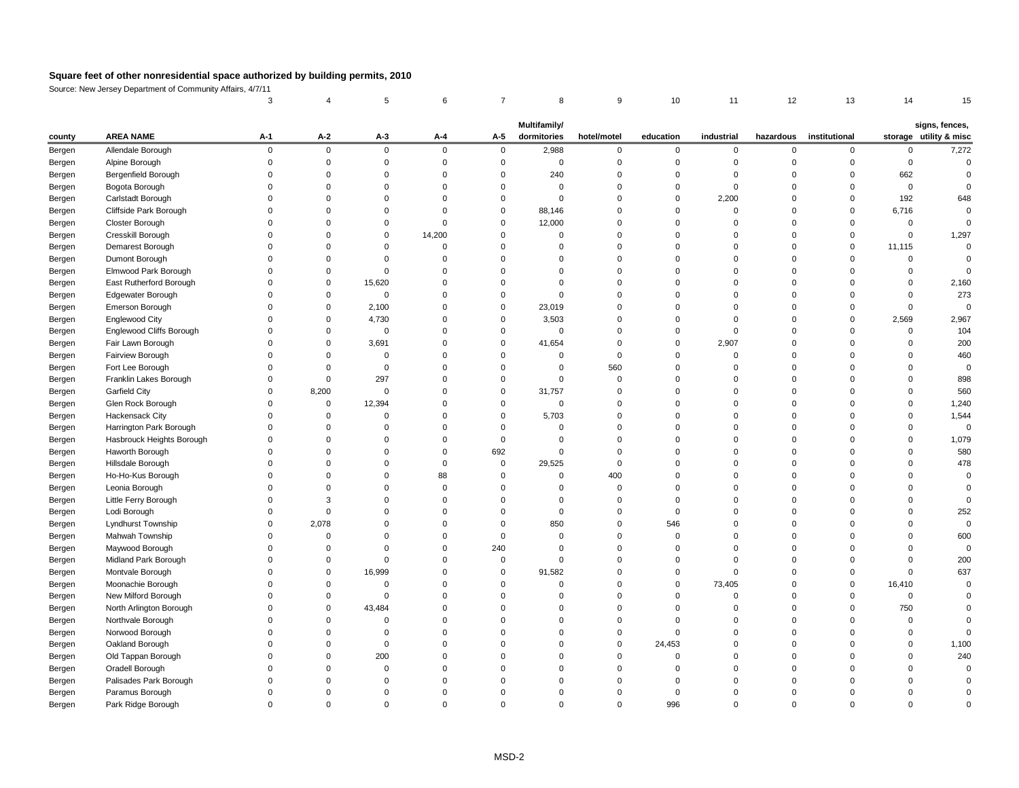Source: New Jersey Department of Community Affairs, 4/7/11

|        |                                      |              |             |                |             |             | <b>Multifamily/</b> |             |           |                |             |               |          | signs, fences,         |
|--------|--------------------------------------|--------------|-------------|----------------|-------------|-------------|---------------------|-------------|-----------|----------------|-------------|---------------|----------|------------------------|
| county | <b>AREA NAME</b>                     | $A-1$        | $A-2$       | $A-3$          | $A-4$       | $A-5$       | dormitories         | hotel/motel | education | industrial     | hazardous   | institutional |          | storage utility & misc |
| Bergen | Allendale Borough                    | $\mathbf{0}$ | $\mathbf 0$ | $\overline{0}$ | $\mathbf 0$ | $\mathbf 0$ | 2,988               | $\mathbf 0$ | 0         | $\overline{0}$ | $\mathbf 0$ | $\Omega$      |          | 7,272                  |
| Bergen | Alpine Borough                       |              |             |                |             |             | 0                   |             |           |                |             |               | $\Omega$ |                        |
| Bergen | Bergenfield Borough                  |              |             |                |             |             | 240                 |             |           |                |             |               | 662      |                        |
| Bergen | Bogota Borough                       |              |             |                |             |             |                     |             |           |                |             |               |          |                        |
| Bergen | Carlstadt Borough                    |              |             |                |             |             | ∩                   |             |           | 2,200          |             |               | 192      | 648                    |
| Bergen | Cliffside Park Borough               |              |             |                |             |             | 88,146              |             |           |                |             |               | 6,716    |                        |
| Bergen | Closter Borough                      |              |             |                |             |             | 12,000              |             |           |                |             |               |          |                        |
| Bergen | Cresskill Borough                    |              |             |                | 14,200      |             |                     |             |           |                |             |               |          | 1,297                  |
| Bergen | Demarest Borough                     |              |             |                |             |             |                     |             |           |                |             |               | 11,115   |                        |
| Bergen | Dumont Borough                       |              |             |                |             |             |                     |             |           |                |             |               |          |                        |
| Bergen | Elmwood Park Borough                 |              |             |                |             |             | ∩                   |             |           |                |             |               |          |                        |
| Bergen | East Rutherford Borough              |              |             | 15,620         |             |             |                     |             |           |                |             |               |          | 2,160                  |
| Bergen | Edgewater Borough                    |              |             | $\Omega$       |             |             |                     |             |           |                |             |               |          | 273                    |
| Bergen | Emerson Borough                      |              |             | 2,100          |             |             | 23,019              |             |           |                |             |               |          |                        |
| Bergen | <b>Englewood City</b>                |              | 0           | 4,730          |             |             | 3,503               |             |           |                |             |               | 2,569    | 2,967                  |
| Bergen | Englewood Cliffs Borough             |              |             | $\Omega$       |             |             | $\Omega$            |             |           |                |             |               |          | 104                    |
| Bergen | Fair Lawn Borough                    |              | 0           | 3,691          |             | $\Omega$    | 41,654              |             | 0         | 2,907          |             |               |          | 200                    |
| Bergen | Fairview Borough                     |              |             | ∩              |             |             | ∩                   |             |           |                |             |               |          | 460                    |
| Bergen | Fort Lee Borough                     |              |             | $\Omega$       |             |             | 0                   | 560         |           |                |             |               |          |                        |
| Bergen | Franklin Lakes Borough               |              |             | 297            |             |             | $\Omega$            | $\Omega$    |           |                |             |               |          | 898                    |
| Bergen | <b>Garfield City</b>                 |              | 8,200       | $\Omega$       |             | $\Omega$    | 31,757              |             |           |                |             |               |          | 560                    |
| Bergen | Glen Rock Borough                    |              | 0           | 12,394         |             |             | $\Omega$            |             |           |                |             |               |          | 1,240                  |
| Bergen | Hackensack City                      |              |             | 0              |             |             | 5,703               |             |           |                |             |               |          | 1,544                  |
| Bergen | Harrington Park Borough              |              |             |                |             |             |                     |             |           |                |             |               |          |                        |
| Bergen | Hasbrouck Heights Borough            |              |             |                |             |             |                     |             |           |                |             |               |          | 1,079                  |
| Bergen | Haworth Borough                      |              |             |                |             | 692         | $\Omega$            |             |           |                |             |               |          | 580                    |
| Bergen | Hillsdale Borough                    |              |             |                |             | $\mathbf 0$ | 29,525              |             |           |                |             |               |          | 478                    |
| Bergen | Ho-Ho-Kus Borough                    |              |             |                | 88          |             |                     | 400         |           |                |             |               |          |                        |
| Bergen | Leonia Borough                       |              |             |                |             |             |                     |             |           |                |             |               |          |                        |
| Bergen | Little Ferry Borough                 |              |             |                |             |             |                     |             |           |                |             |               |          |                        |
| Bergen | Lodi Borough                         |              |             |                |             |             |                     |             |           |                |             |               |          | 252                    |
| Bergen | Lyndhurst Township                   |              | 2,078       |                |             |             | 850                 |             | 546       |                |             |               |          |                        |
| Bergen | Mahwah Township                      |              |             |                |             |             |                     |             |           |                |             |               |          | 600                    |
| Bergen | Maywood Borough                      |              |             |                |             | 240         |                     |             |           |                |             |               |          |                        |
| Bergen | Midland Park Borough                 |              |             |                |             |             |                     |             |           |                |             |               |          | 200                    |
| Bergen | Montvale Borough                     |              |             | 16,999         |             |             | 91,582              |             |           |                |             |               |          | 637                    |
| Bergen | Moonachie Borough                    |              |             |                |             |             |                     |             |           | 73,405         |             |               | 16,410   |                        |
|        | New Milford Borough                  |              |             |                |             |             |                     |             |           |                |             |               |          |                        |
| Bergen |                                      |              |             | 43,484         |             |             |                     |             |           |                |             |               | 750      |                        |
| Bergen | North Arlington Borough              |              |             |                |             |             |                     |             |           |                |             |               |          |                        |
| Bergen | Northvale Borough<br>Norwood Borough |              |             |                |             |             |                     |             |           |                |             |               |          |                        |
| Bergen |                                      |              |             |                |             |             |                     |             |           |                |             |               |          |                        |
| Bergen | Oakland Borough                      |              |             |                |             |             |                     |             | 24,453    |                |             |               |          | 1,100                  |
| Bergen | Old Tappan Borough                   |              |             | 200            |             |             |                     |             |           |                |             |               |          | 240                    |
| Bergen | Oradell Borough                      |              |             |                |             |             |                     |             |           |                |             |               |          |                        |
| Bergen | Palisades Park Borough               |              |             |                |             |             |                     |             |           |                |             |               |          |                        |
| Bergen | Paramus Borough                      |              |             |                |             |             |                     |             |           |                |             |               |          |                        |
| Bergen | Park Ridge Borough                   | 0            |             | 0              |             |             | 0                   | 0           | 996       | $\Omega$       |             |               |          |                        |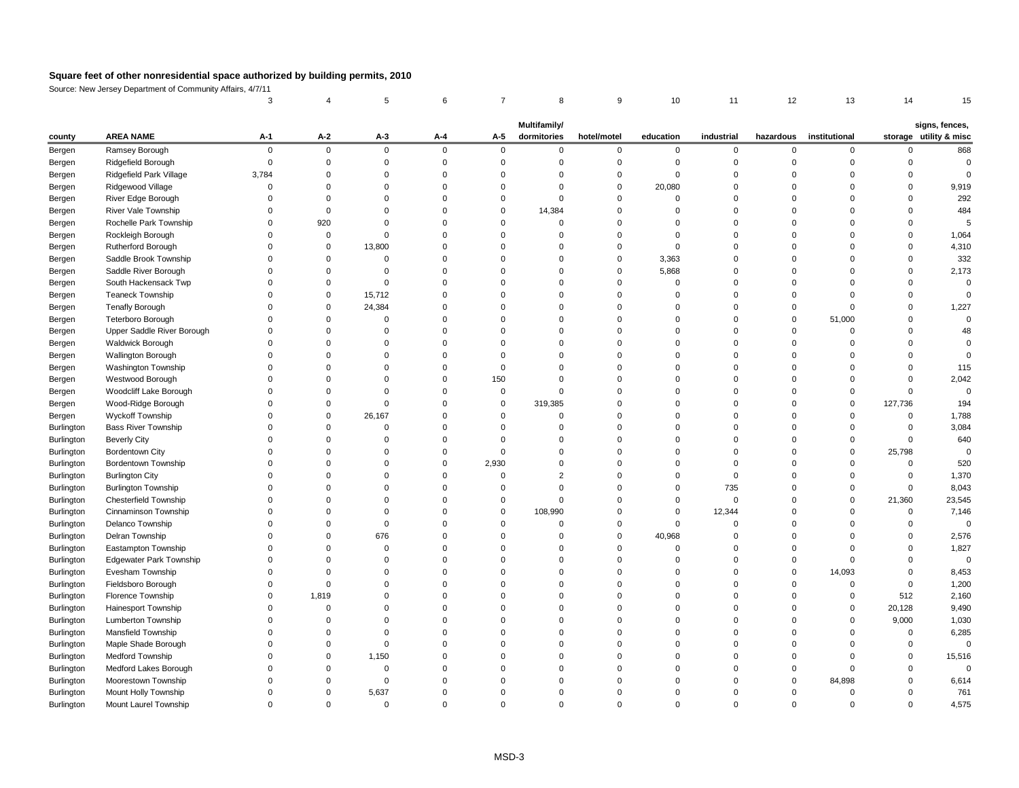Source: New Jersey Department of Community Affairs, 4/7/11

|            |                                |          |          |                |          |          | <b>Multifamily/</b> |             |           |            |           |               |          | signs, fences,         |
|------------|--------------------------------|----------|----------|----------------|----------|----------|---------------------|-------------|-----------|------------|-----------|---------------|----------|------------------------|
| county     | <b>AREA NAME</b>               | $A-1$    | $A-2$    | $A-3$          | $A-4$    | $A-5$    | dormitories         | hotel/motel | education | industrial | hazardous | institutional |          | storage utility & misc |
| Bergen     | Ramsey Borough                 | $\Omega$ | $\Omega$ | $\mathbf 0$    | $\Omega$ | $\Omega$ | $\Omega$            | $\Omega$    | 0         | $\Omega$   |           | $\mathbf{0}$  |          | 868                    |
| Bergen     | Ridgefield Borough             |          |          |                |          |          |                     |             |           |            |           |               |          |                        |
| Bergen     | Ridgefield Park Village        | 3,784    |          |                |          |          |                     |             |           |            |           |               |          |                        |
| Bergen     | Ridgewood Village              |          |          |                |          |          |                     |             | 20,080    |            |           |               |          | 9,919                  |
| Bergen     | River Edge Borough             |          |          |                |          |          |                     |             |           |            |           |               |          | 292                    |
| Bergen     | River Vale Township            |          |          |                |          |          | 14,384              |             |           |            |           |               |          | 484                    |
| Bergen     | Rochelle Park Township         |          | 920      |                |          |          | ∩                   |             |           |            |           |               |          |                        |
| Bergen     | Rockleigh Borough              |          |          |                |          |          |                     |             |           |            |           |               |          | 1,064                  |
| Bergen     | Rutherford Borough             |          | 0        | 13,800         |          |          |                     |             |           |            |           |               |          | 4,310                  |
| Bergen     | Saddle Brook Township          |          |          |                |          |          |                     |             | 3,363     |            |           |               |          | 332                    |
| Bergen     | Saddle River Borough           |          |          |                |          |          |                     |             | 5,868     |            |           |               |          | 2,173                  |
| Bergen     | South Hackensack Twp           |          |          |                |          |          |                     |             |           |            |           |               |          |                        |
| Bergen     | <b>Teaneck Township</b>        |          | 0        | 15,712         |          |          |                     |             |           |            |           |               |          |                        |
| Bergen     | <b>Tenafly Borough</b>         |          |          | 24,384         |          |          |                     |             |           |            |           | $\Omega$      |          | 1,227                  |
| Bergen     | Teterboro Borough              |          |          |                |          |          |                     |             |           |            |           | 51,000        |          |                        |
| Bergen     | Upper Saddle River Borough     |          |          |                |          |          |                     |             |           |            |           | $\Omega$      |          |                        |
| Bergen     | Waldwick Borough               |          |          |                |          |          |                     |             |           |            |           |               |          |                        |
| Bergen     | Wallington Borough             |          |          |                |          |          |                     |             |           |            |           |               |          |                        |
| Bergen     | Washington Township            |          |          |                |          |          |                     |             |           |            |           |               |          | 115                    |
| Bergen     | Westwood Borough               |          |          |                |          | 150      |                     |             |           |            |           |               |          | 2,042                  |
| Bergen     | Woodcliff Lake Borough         |          |          |                |          |          |                     |             |           |            |           |               |          |                        |
| Bergen     | Wood-Ridge Borough             |          |          |                |          |          | 319,385             |             |           |            |           | $\mathbf{0}$  | 127,736  | 194                    |
| Bergen     | <b>Wyckoff Township</b>        |          |          | 26,167         |          |          |                     |             |           |            |           |               |          | 1,788                  |
| Burlington | <b>Bass River Township</b>     |          |          |                |          |          |                     |             |           |            |           |               |          | 3,084                  |
| Burlington | <b>Beverly City</b>            |          |          |                |          |          |                     |             |           |            |           |               |          | 640                    |
| Burlington | <b>Bordentown City</b>         |          |          |                |          |          |                     |             |           |            |           |               | 25,798   |                        |
| Burlington | <b>Bordentown Township</b>     |          |          |                |          | 2,930    |                     |             |           |            |           |               | $\Omega$ | 520                    |
| Burlington | <b>Burlington City</b>         |          |          |                |          |          |                     |             |           |            |           |               |          | 1,370                  |
| Burlington | <b>Burlington Township</b>     |          |          |                |          |          |                     |             |           | 735        |           | $\Omega$      |          | 8,043                  |
| Burlington | <b>Chesterfield Township</b>   |          |          |                |          |          | ∩                   |             |           | - 0        |           | $\Omega$      | 21,360   | 23,545                 |
| Burlington | Cinnaminson Township           |          |          |                |          |          | 108,990             |             |           | 12,344     |           |               | 0        | 7,146                  |
| Burlington | Delanco Township               |          |          | ∩              |          |          | ∩                   |             |           |            |           | $\Omega$      |          |                        |
| Burlington | Delran Township                |          |          | 676            |          |          |                     |             | 40,968    |            |           |               |          | 2,576                  |
| Burlington | Eastampton Township            |          |          | 0              |          |          |                     |             | 0         |            |           |               |          | 1,827                  |
| Burlington | <b>Edgewater Park Township</b> |          |          |                |          |          |                     |             |           |            |           |               |          |                        |
| Burlington | Evesham Township               |          |          |                |          |          |                     |             |           |            |           | 14,093        |          | 8,453                  |
| Burlington | Fieldsboro Borough             |          |          |                |          |          |                     |             |           |            |           | $\Omega$      |          | 1,200                  |
| Burlington | Florence Township              |          | 1,819    |                |          |          |                     |             |           |            |           | 0             | 512      | 2,160                  |
| Burlington | Hainesport Township            |          |          |                |          |          |                     |             |           |            |           | $\Omega$      | 20,128   | 9,490                  |
| Burlington | <b>Lumberton Township</b>      |          |          |                |          |          |                     |             |           |            |           | $\Omega$      | 9,000    | 1,030                  |
| Burlington | Mansfield Township             |          |          |                |          |          |                     |             |           |            |           |               |          | 6,285                  |
|            | Maple Shade Borough            |          |          |                |          |          |                     |             |           |            |           |               |          |                        |
| Burlington | <b>Medford Township</b>        |          |          | 1,150          |          |          |                     |             |           |            |           |               |          | 15,516                 |
| Burlington |                                |          |          |                |          |          |                     |             |           |            |           |               |          |                        |
| Burlington | Medford Lakes Borough          |          |          |                |          |          |                     |             |           |            |           |               |          |                        |
| Burlington | Moorestown Township            |          |          |                |          |          |                     |             |           |            |           | 84,898        |          | 6,614                  |
| Burlington | Mount Holly Township           |          |          | 5,637          |          |          |                     |             |           |            |           |               |          | 761                    |
| Burlington | Mount Laurel Township          | 0        | 0        | $\overline{0}$ |          |          | $\Omega$            | 0           |           | $\Omega$   |           | 0             | 0        | 4,575                  |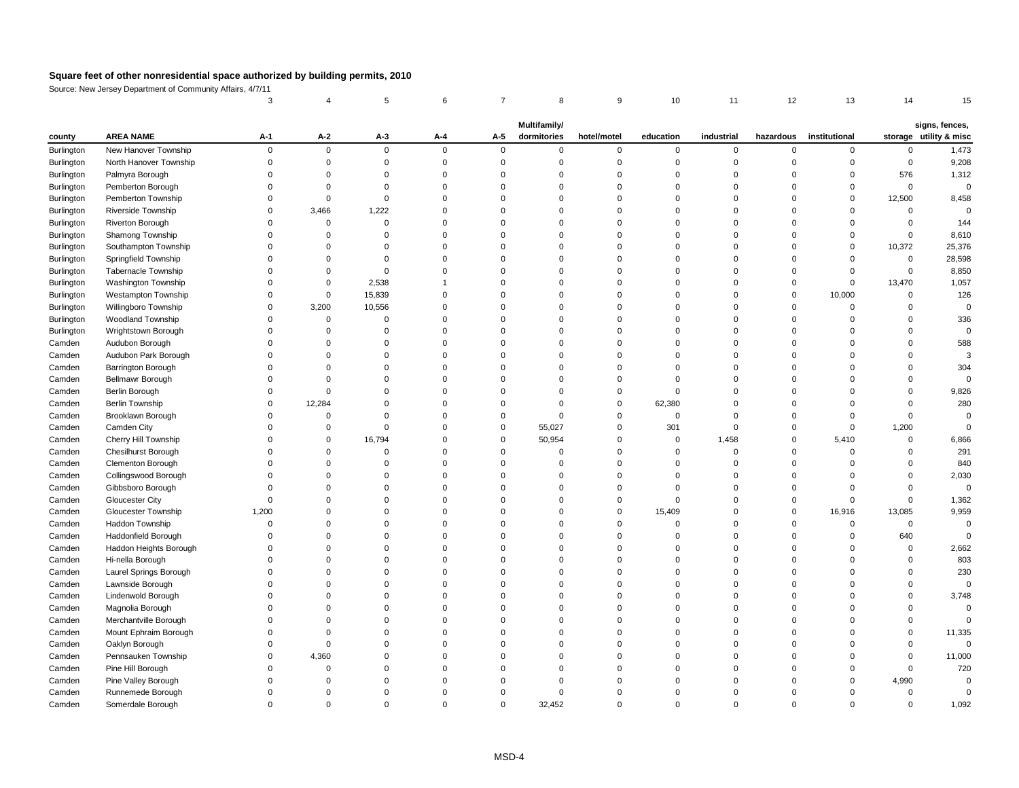Source: New Jersey Department of Community Affairs, 4/7/11

| storage utility & misc<br><b>AREA NAME</b><br>$A-2$<br>dormitories<br>institutional<br>$A-1$<br>$A-3$<br>$A-5$<br>education<br>industrial<br>hazardous<br>$A-4$<br>hotel/motel<br>county<br>New Hanover Township<br>1,473<br>Burlington<br>$\overline{0}$<br>$\overline{0}$<br>$\Omega$<br>$\mathbf 0$<br>$\mathbf 0$<br>$\mathbf 0$<br>$\overline{0}$<br>$\mathbf 0$<br>0<br>$\mathbf{0}$<br>$\Omega$<br>$\Omega$<br>9,208<br>North Hanover Township<br>Burlington<br>0<br>$\Omega$<br>1,312<br>Burlington<br>Palmyra Borough<br>576<br>Burlington<br>Pemberton Borough<br>$\Omega$<br><b>Pemberton Township</b><br>Burlington<br>12,500<br>8,458<br>Riverside Township<br>3,466<br>1,222<br>Burlington<br>Burlington<br><b>Riverton Borough</b><br>144<br>8,610<br>Burlington<br>Shamong Township<br>25,376<br>Southampton Township<br>10,372<br>Burlington<br>$\Omega$<br>28,598<br>Burlington<br>Springfield Township<br><b>Tabernacle Township</b><br>8,850<br>Burlington<br>0<br>Washington Township<br>1,057<br>Burlington<br>2,538<br>13,470<br>0<br>15,839<br>10,000<br>126<br>Burlington<br><b>Westampton Township</b><br>0<br>3,200<br>Burlington<br>Willingboro Township<br>10,556<br><b>Woodland Township</b><br>336<br>Burlington<br>n<br>Wrightstown Borough<br>Burlington<br>Audubon Borough<br>Camden<br>588<br>Audubon Park Borough<br>Camden<br><b>Barrington Borough</b><br>Camden<br>304<br>Camden<br>Bellmawr Borough<br>9,826<br>Camden<br>Berlin Borough<br>12,284<br>62,380<br>280<br><b>Berlin Township</b><br>Camden<br>Brooklawn Borough<br>Camden<br>$\Omega$<br>0<br>0<br>Camden City<br>55,027<br>1,200<br>Camden<br>301<br>0<br>0<br>Cherry Hill Township<br>16,794<br>50,954<br>1,458<br>5,410<br>6,866<br>Camden<br>0<br>0<br>Chesilhurst Borough<br>Camden<br>291<br><b>Clementon Borough</b><br>840<br>Camden<br>$\Omega$<br>Camden<br>Collingswood Borough<br>2,030<br>Gibbsboro Borough<br>Camden<br><b>Gloucester City</b><br>1,362<br>Camden<br>9,959<br>Camden<br><b>Gloucester Township</b><br>1,200<br>15,409<br>16,916<br>13,085<br>Haddon Township<br>Camden<br>Haddonfield Borough<br>Camden<br>640<br>Haddon Heights Borough<br>2,662<br>Camden<br>803<br>Hi-nella Borough<br>Camden<br>230<br>Laurel Springs Borough<br>Camden<br>Lawnside Borough<br>Camden<br>Lindenwold Borough<br>3,748<br>Camden<br>Camden<br>Magnolia Borough<br>Merchantville Borough<br>Camden<br>Mount Ephraim Borough<br>11,335<br>Camden<br>Camden<br>Oaklyn Borough<br>0<br>Camden<br>Pennsauken Township<br>4,360<br>11,000<br>720<br>Pine Hill Borough<br>Camden<br>Pine Valley Borough<br>Camden<br>4,990<br>Runnemede Borough<br>Camden<br>0<br>Somerdale Borough<br>1,092<br>32,452<br>Camden<br>$\mathbf 0$<br>0<br>0<br>0<br>0 |  |  |  | Multifamily/ |  |  |  | signs, fences, |
|-------------------------------------------------------------------------------------------------------------------------------------------------------------------------------------------------------------------------------------------------------------------------------------------------------------------------------------------------------------------------------------------------------------------------------------------------------------------------------------------------------------------------------------------------------------------------------------------------------------------------------------------------------------------------------------------------------------------------------------------------------------------------------------------------------------------------------------------------------------------------------------------------------------------------------------------------------------------------------------------------------------------------------------------------------------------------------------------------------------------------------------------------------------------------------------------------------------------------------------------------------------------------------------------------------------------------------------------------------------------------------------------------------------------------------------------------------------------------------------------------------------------------------------------------------------------------------------------------------------------------------------------------------------------------------------------------------------------------------------------------------------------------------------------------------------------------------------------------------------------------------------------------------------------------------------------------------------------------------------------------------------------------------------------------------------------------------------------------------------------------------------------------------------------------------------------------------------------------------------------------------------------------------------------------------------------------------------------------------------------------------------------------------------------------------------------------------------------------------------------------------------------------------------------------------------------------------------------------------------------------------------------------------------------------------------------------------------------------------------------------------------------|--|--|--|--------------|--|--|--|----------------|
|                                                                                                                                                                                                                                                                                                                                                                                                                                                                                                                                                                                                                                                                                                                                                                                                                                                                                                                                                                                                                                                                                                                                                                                                                                                                                                                                                                                                                                                                                                                                                                                                                                                                                                                                                                                                                                                                                                                                                                                                                                                                                                                                                                                                                                                                                                                                                                                                                                                                                                                                                                                                                                                                                                                                                                   |  |  |  |              |  |  |  |                |
|                                                                                                                                                                                                                                                                                                                                                                                                                                                                                                                                                                                                                                                                                                                                                                                                                                                                                                                                                                                                                                                                                                                                                                                                                                                                                                                                                                                                                                                                                                                                                                                                                                                                                                                                                                                                                                                                                                                                                                                                                                                                                                                                                                                                                                                                                                                                                                                                                                                                                                                                                                                                                                                                                                                                                                   |  |  |  |              |  |  |  |                |
|                                                                                                                                                                                                                                                                                                                                                                                                                                                                                                                                                                                                                                                                                                                                                                                                                                                                                                                                                                                                                                                                                                                                                                                                                                                                                                                                                                                                                                                                                                                                                                                                                                                                                                                                                                                                                                                                                                                                                                                                                                                                                                                                                                                                                                                                                                                                                                                                                                                                                                                                                                                                                                                                                                                                                                   |  |  |  |              |  |  |  |                |
|                                                                                                                                                                                                                                                                                                                                                                                                                                                                                                                                                                                                                                                                                                                                                                                                                                                                                                                                                                                                                                                                                                                                                                                                                                                                                                                                                                                                                                                                                                                                                                                                                                                                                                                                                                                                                                                                                                                                                                                                                                                                                                                                                                                                                                                                                                                                                                                                                                                                                                                                                                                                                                                                                                                                                                   |  |  |  |              |  |  |  |                |
|                                                                                                                                                                                                                                                                                                                                                                                                                                                                                                                                                                                                                                                                                                                                                                                                                                                                                                                                                                                                                                                                                                                                                                                                                                                                                                                                                                                                                                                                                                                                                                                                                                                                                                                                                                                                                                                                                                                                                                                                                                                                                                                                                                                                                                                                                                                                                                                                                                                                                                                                                                                                                                                                                                                                                                   |  |  |  |              |  |  |  |                |
|                                                                                                                                                                                                                                                                                                                                                                                                                                                                                                                                                                                                                                                                                                                                                                                                                                                                                                                                                                                                                                                                                                                                                                                                                                                                                                                                                                                                                                                                                                                                                                                                                                                                                                                                                                                                                                                                                                                                                                                                                                                                                                                                                                                                                                                                                                                                                                                                                                                                                                                                                                                                                                                                                                                                                                   |  |  |  |              |  |  |  |                |
|                                                                                                                                                                                                                                                                                                                                                                                                                                                                                                                                                                                                                                                                                                                                                                                                                                                                                                                                                                                                                                                                                                                                                                                                                                                                                                                                                                                                                                                                                                                                                                                                                                                                                                                                                                                                                                                                                                                                                                                                                                                                                                                                                                                                                                                                                                                                                                                                                                                                                                                                                                                                                                                                                                                                                                   |  |  |  |              |  |  |  |                |
|                                                                                                                                                                                                                                                                                                                                                                                                                                                                                                                                                                                                                                                                                                                                                                                                                                                                                                                                                                                                                                                                                                                                                                                                                                                                                                                                                                                                                                                                                                                                                                                                                                                                                                                                                                                                                                                                                                                                                                                                                                                                                                                                                                                                                                                                                                                                                                                                                                                                                                                                                                                                                                                                                                                                                                   |  |  |  |              |  |  |  |                |
|                                                                                                                                                                                                                                                                                                                                                                                                                                                                                                                                                                                                                                                                                                                                                                                                                                                                                                                                                                                                                                                                                                                                                                                                                                                                                                                                                                                                                                                                                                                                                                                                                                                                                                                                                                                                                                                                                                                                                                                                                                                                                                                                                                                                                                                                                                                                                                                                                                                                                                                                                                                                                                                                                                                                                                   |  |  |  |              |  |  |  |                |
|                                                                                                                                                                                                                                                                                                                                                                                                                                                                                                                                                                                                                                                                                                                                                                                                                                                                                                                                                                                                                                                                                                                                                                                                                                                                                                                                                                                                                                                                                                                                                                                                                                                                                                                                                                                                                                                                                                                                                                                                                                                                                                                                                                                                                                                                                                                                                                                                                                                                                                                                                                                                                                                                                                                                                                   |  |  |  |              |  |  |  |                |
|                                                                                                                                                                                                                                                                                                                                                                                                                                                                                                                                                                                                                                                                                                                                                                                                                                                                                                                                                                                                                                                                                                                                                                                                                                                                                                                                                                                                                                                                                                                                                                                                                                                                                                                                                                                                                                                                                                                                                                                                                                                                                                                                                                                                                                                                                                                                                                                                                                                                                                                                                                                                                                                                                                                                                                   |  |  |  |              |  |  |  |                |
|                                                                                                                                                                                                                                                                                                                                                                                                                                                                                                                                                                                                                                                                                                                                                                                                                                                                                                                                                                                                                                                                                                                                                                                                                                                                                                                                                                                                                                                                                                                                                                                                                                                                                                                                                                                                                                                                                                                                                                                                                                                                                                                                                                                                                                                                                                                                                                                                                                                                                                                                                                                                                                                                                                                                                                   |  |  |  |              |  |  |  |                |
|                                                                                                                                                                                                                                                                                                                                                                                                                                                                                                                                                                                                                                                                                                                                                                                                                                                                                                                                                                                                                                                                                                                                                                                                                                                                                                                                                                                                                                                                                                                                                                                                                                                                                                                                                                                                                                                                                                                                                                                                                                                                                                                                                                                                                                                                                                                                                                                                                                                                                                                                                                                                                                                                                                                                                                   |  |  |  |              |  |  |  |                |
|                                                                                                                                                                                                                                                                                                                                                                                                                                                                                                                                                                                                                                                                                                                                                                                                                                                                                                                                                                                                                                                                                                                                                                                                                                                                                                                                                                                                                                                                                                                                                                                                                                                                                                                                                                                                                                                                                                                                                                                                                                                                                                                                                                                                                                                                                                                                                                                                                                                                                                                                                                                                                                                                                                                                                                   |  |  |  |              |  |  |  |                |
|                                                                                                                                                                                                                                                                                                                                                                                                                                                                                                                                                                                                                                                                                                                                                                                                                                                                                                                                                                                                                                                                                                                                                                                                                                                                                                                                                                                                                                                                                                                                                                                                                                                                                                                                                                                                                                                                                                                                                                                                                                                                                                                                                                                                                                                                                                                                                                                                                                                                                                                                                                                                                                                                                                                                                                   |  |  |  |              |  |  |  |                |
|                                                                                                                                                                                                                                                                                                                                                                                                                                                                                                                                                                                                                                                                                                                                                                                                                                                                                                                                                                                                                                                                                                                                                                                                                                                                                                                                                                                                                                                                                                                                                                                                                                                                                                                                                                                                                                                                                                                                                                                                                                                                                                                                                                                                                                                                                                                                                                                                                                                                                                                                                                                                                                                                                                                                                                   |  |  |  |              |  |  |  |                |
|                                                                                                                                                                                                                                                                                                                                                                                                                                                                                                                                                                                                                                                                                                                                                                                                                                                                                                                                                                                                                                                                                                                                                                                                                                                                                                                                                                                                                                                                                                                                                                                                                                                                                                                                                                                                                                                                                                                                                                                                                                                                                                                                                                                                                                                                                                                                                                                                                                                                                                                                                                                                                                                                                                                                                                   |  |  |  |              |  |  |  |                |
|                                                                                                                                                                                                                                                                                                                                                                                                                                                                                                                                                                                                                                                                                                                                                                                                                                                                                                                                                                                                                                                                                                                                                                                                                                                                                                                                                                                                                                                                                                                                                                                                                                                                                                                                                                                                                                                                                                                                                                                                                                                                                                                                                                                                                                                                                                                                                                                                                                                                                                                                                                                                                                                                                                                                                                   |  |  |  |              |  |  |  |                |
|                                                                                                                                                                                                                                                                                                                                                                                                                                                                                                                                                                                                                                                                                                                                                                                                                                                                                                                                                                                                                                                                                                                                                                                                                                                                                                                                                                                                                                                                                                                                                                                                                                                                                                                                                                                                                                                                                                                                                                                                                                                                                                                                                                                                                                                                                                                                                                                                                                                                                                                                                                                                                                                                                                                                                                   |  |  |  |              |  |  |  |                |
|                                                                                                                                                                                                                                                                                                                                                                                                                                                                                                                                                                                                                                                                                                                                                                                                                                                                                                                                                                                                                                                                                                                                                                                                                                                                                                                                                                                                                                                                                                                                                                                                                                                                                                                                                                                                                                                                                                                                                                                                                                                                                                                                                                                                                                                                                                                                                                                                                                                                                                                                                                                                                                                                                                                                                                   |  |  |  |              |  |  |  |                |
|                                                                                                                                                                                                                                                                                                                                                                                                                                                                                                                                                                                                                                                                                                                                                                                                                                                                                                                                                                                                                                                                                                                                                                                                                                                                                                                                                                                                                                                                                                                                                                                                                                                                                                                                                                                                                                                                                                                                                                                                                                                                                                                                                                                                                                                                                                                                                                                                                                                                                                                                                                                                                                                                                                                                                                   |  |  |  |              |  |  |  |                |
|                                                                                                                                                                                                                                                                                                                                                                                                                                                                                                                                                                                                                                                                                                                                                                                                                                                                                                                                                                                                                                                                                                                                                                                                                                                                                                                                                                                                                                                                                                                                                                                                                                                                                                                                                                                                                                                                                                                                                                                                                                                                                                                                                                                                                                                                                                                                                                                                                                                                                                                                                                                                                                                                                                                                                                   |  |  |  |              |  |  |  |                |
|                                                                                                                                                                                                                                                                                                                                                                                                                                                                                                                                                                                                                                                                                                                                                                                                                                                                                                                                                                                                                                                                                                                                                                                                                                                                                                                                                                                                                                                                                                                                                                                                                                                                                                                                                                                                                                                                                                                                                                                                                                                                                                                                                                                                                                                                                                                                                                                                                                                                                                                                                                                                                                                                                                                                                                   |  |  |  |              |  |  |  |                |
|                                                                                                                                                                                                                                                                                                                                                                                                                                                                                                                                                                                                                                                                                                                                                                                                                                                                                                                                                                                                                                                                                                                                                                                                                                                                                                                                                                                                                                                                                                                                                                                                                                                                                                                                                                                                                                                                                                                                                                                                                                                                                                                                                                                                                                                                                                                                                                                                                                                                                                                                                                                                                                                                                                                                                                   |  |  |  |              |  |  |  |                |
|                                                                                                                                                                                                                                                                                                                                                                                                                                                                                                                                                                                                                                                                                                                                                                                                                                                                                                                                                                                                                                                                                                                                                                                                                                                                                                                                                                                                                                                                                                                                                                                                                                                                                                                                                                                                                                                                                                                                                                                                                                                                                                                                                                                                                                                                                                                                                                                                                                                                                                                                                                                                                                                                                                                                                                   |  |  |  |              |  |  |  |                |
|                                                                                                                                                                                                                                                                                                                                                                                                                                                                                                                                                                                                                                                                                                                                                                                                                                                                                                                                                                                                                                                                                                                                                                                                                                                                                                                                                                                                                                                                                                                                                                                                                                                                                                                                                                                                                                                                                                                                                                                                                                                                                                                                                                                                                                                                                                                                                                                                                                                                                                                                                                                                                                                                                                                                                                   |  |  |  |              |  |  |  |                |
|                                                                                                                                                                                                                                                                                                                                                                                                                                                                                                                                                                                                                                                                                                                                                                                                                                                                                                                                                                                                                                                                                                                                                                                                                                                                                                                                                                                                                                                                                                                                                                                                                                                                                                                                                                                                                                                                                                                                                                                                                                                                                                                                                                                                                                                                                                                                                                                                                                                                                                                                                                                                                                                                                                                                                                   |  |  |  |              |  |  |  |                |
|                                                                                                                                                                                                                                                                                                                                                                                                                                                                                                                                                                                                                                                                                                                                                                                                                                                                                                                                                                                                                                                                                                                                                                                                                                                                                                                                                                                                                                                                                                                                                                                                                                                                                                                                                                                                                                                                                                                                                                                                                                                                                                                                                                                                                                                                                                                                                                                                                                                                                                                                                                                                                                                                                                                                                                   |  |  |  |              |  |  |  |                |
|                                                                                                                                                                                                                                                                                                                                                                                                                                                                                                                                                                                                                                                                                                                                                                                                                                                                                                                                                                                                                                                                                                                                                                                                                                                                                                                                                                                                                                                                                                                                                                                                                                                                                                                                                                                                                                                                                                                                                                                                                                                                                                                                                                                                                                                                                                                                                                                                                                                                                                                                                                                                                                                                                                                                                                   |  |  |  |              |  |  |  |                |
|                                                                                                                                                                                                                                                                                                                                                                                                                                                                                                                                                                                                                                                                                                                                                                                                                                                                                                                                                                                                                                                                                                                                                                                                                                                                                                                                                                                                                                                                                                                                                                                                                                                                                                                                                                                                                                                                                                                                                                                                                                                                                                                                                                                                                                                                                                                                                                                                                                                                                                                                                                                                                                                                                                                                                                   |  |  |  |              |  |  |  |                |
|                                                                                                                                                                                                                                                                                                                                                                                                                                                                                                                                                                                                                                                                                                                                                                                                                                                                                                                                                                                                                                                                                                                                                                                                                                                                                                                                                                                                                                                                                                                                                                                                                                                                                                                                                                                                                                                                                                                                                                                                                                                                                                                                                                                                                                                                                                                                                                                                                                                                                                                                                                                                                                                                                                                                                                   |  |  |  |              |  |  |  |                |
|                                                                                                                                                                                                                                                                                                                                                                                                                                                                                                                                                                                                                                                                                                                                                                                                                                                                                                                                                                                                                                                                                                                                                                                                                                                                                                                                                                                                                                                                                                                                                                                                                                                                                                                                                                                                                                                                                                                                                                                                                                                                                                                                                                                                                                                                                                                                                                                                                                                                                                                                                                                                                                                                                                                                                                   |  |  |  |              |  |  |  |                |
|                                                                                                                                                                                                                                                                                                                                                                                                                                                                                                                                                                                                                                                                                                                                                                                                                                                                                                                                                                                                                                                                                                                                                                                                                                                                                                                                                                                                                                                                                                                                                                                                                                                                                                                                                                                                                                                                                                                                                                                                                                                                                                                                                                                                                                                                                                                                                                                                                                                                                                                                                                                                                                                                                                                                                                   |  |  |  |              |  |  |  |                |
|                                                                                                                                                                                                                                                                                                                                                                                                                                                                                                                                                                                                                                                                                                                                                                                                                                                                                                                                                                                                                                                                                                                                                                                                                                                                                                                                                                                                                                                                                                                                                                                                                                                                                                                                                                                                                                                                                                                                                                                                                                                                                                                                                                                                                                                                                                                                                                                                                                                                                                                                                                                                                                                                                                                                                                   |  |  |  |              |  |  |  |                |
|                                                                                                                                                                                                                                                                                                                                                                                                                                                                                                                                                                                                                                                                                                                                                                                                                                                                                                                                                                                                                                                                                                                                                                                                                                                                                                                                                                                                                                                                                                                                                                                                                                                                                                                                                                                                                                                                                                                                                                                                                                                                                                                                                                                                                                                                                                                                                                                                                                                                                                                                                                                                                                                                                                                                                                   |  |  |  |              |  |  |  |                |
|                                                                                                                                                                                                                                                                                                                                                                                                                                                                                                                                                                                                                                                                                                                                                                                                                                                                                                                                                                                                                                                                                                                                                                                                                                                                                                                                                                                                                                                                                                                                                                                                                                                                                                                                                                                                                                                                                                                                                                                                                                                                                                                                                                                                                                                                                                                                                                                                                                                                                                                                                                                                                                                                                                                                                                   |  |  |  |              |  |  |  |                |
|                                                                                                                                                                                                                                                                                                                                                                                                                                                                                                                                                                                                                                                                                                                                                                                                                                                                                                                                                                                                                                                                                                                                                                                                                                                                                                                                                                                                                                                                                                                                                                                                                                                                                                                                                                                                                                                                                                                                                                                                                                                                                                                                                                                                                                                                                                                                                                                                                                                                                                                                                                                                                                                                                                                                                                   |  |  |  |              |  |  |  |                |
|                                                                                                                                                                                                                                                                                                                                                                                                                                                                                                                                                                                                                                                                                                                                                                                                                                                                                                                                                                                                                                                                                                                                                                                                                                                                                                                                                                                                                                                                                                                                                                                                                                                                                                                                                                                                                                                                                                                                                                                                                                                                                                                                                                                                                                                                                                                                                                                                                                                                                                                                                                                                                                                                                                                                                                   |  |  |  |              |  |  |  |                |
|                                                                                                                                                                                                                                                                                                                                                                                                                                                                                                                                                                                                                                                                                                                                                                                                                                                                                                                                                                                                                                                                                                                                                                                                                                                                                                                                                                                                                                                                                                                                                                                                                                                                                                                                                                                                                                                                                                                                                                                                                                                                                                                                                                                                                                                                                                                                                                                                                                                                                                                                                                                                                                                                                                                                                                   |  |  |  |              |  |  |  |                |
|                                                                                                                                                                                                                                                                                                                                                                                                                                                                                                                                                                                                                                                                                                                                                                                                                                                                                                                                                                                                                                                                                                                                                                                                                                                                                                                                                                                                                                                                                                                                                                                                                                                                                                                                                                                                                                                                                                                                                                                                                                                                                                                                                                                                                                                                                                                                                                                                                                                                                                                                                                                                                                                                                                                                                                   |  |  |  |              |  |  |  |                |
|                                                                                                                                                                                                                                                                                                                                                                                                                                                                                                                                                                                                                                                                                                                                                                                                                                                                                                                                                                                                                                                                                                                                                                                                                                                                                                                                                                                                                                                                                                                                                                                                                                                                                                                                                                                                                                                                                                                                                                                                                                                                                                                                                                                                                                                                                                                                                                                                                                                                                                                                                                                                                                                                                                                                                                   |  |  |  |              |  |  |  |                |
|                                                                                                                                                                                                                                                                                                                                                                                                                                                                                                                                                                                                                                                                                                                                                                                                                                                                                                                                                                                                                                                                                                                                                                                                                                                                                                                                                                                                                                                                                                                                                                                                                                                                                                                                                                                                                                                                                                                                                                                                                                                                                                                                                                                                                                                                                                                                                                                                                                                                                                                                                                                                                                                                                                                                                                   |  |  |  |              |  |  |  |                |
|                                                                                                                                                                                                                                                                                                                                                                                                                                                                                                                                                                                                                                                                                                                                                                                                                                                                                                                                                                                                                                                                                                                                                                                                                                                                                                                                                                                                                                                                                                                                                                                                                                                                                                                                                                                                                                                                                                                                                                                                                                                                                                                                                                                                                                                                                                                                                                                                                                                                                                                                                                                                                                                                                                                                                                   |  |  |  |              |  |  |  |                |
|                                                                                                                                                                                                                                                                                                                                                                                                                                                                                                                                                                                                                                                                                                                                                                                                                                                                                                                                                                                                                                                                                                                                                                                                                                                                                                                                                                                                                                                                                                                                                                                                                                                                                                                                                                                                                                                                                                                                                                                                                                                                                                                                                                                                                                                                                                                                                                                                                                                                                                                                                                                                                                                                                                                                                                   |  |  |  |              |  |  |  |                |
|                                                                                                                                                                                                                                                                                                                                                                                                                                                                                                                                                                                                                                                                                                                                                                                                                                                                                                                                                                                                                                                                                                                                                                                                                                                                                                                                                                                                                                                                                                                                                                                                                                                                                                                                                                                                                                                                                                                                                                                                                                                                                                                                                                                                                                                                                                                                                                                                                                                                                                                                                                                                                                                                                                                                                                   |  |  |  |              |  |  |  |                |
|                                                                                                                                                                                                                                                                                                                                                                                                                                                                                                                                                                                                                                                                                                                                                                                                                                                                                                                                                                                                                                                                                                                                                                                                                                                                                                                                                                                                                                                                                                                                                                                                                                                                                                                                                                                                                                                                                                                                                                                                                                                                                                                                                                                                                                                                                                                                                                                                                                                                                                                                                                                                                                                                                                                                                                   |  |  |  |              |  |  |  |                |
|                                                                                                                                                                                                                                                                                                                                                                                                                                                                                                                                                                                                                                                                                                                                                                                                                                                                                                                                                                                                                                                                                                                                                                                                                                                                                                                                                                                                                                                                                                                                                                                                                                                                                                                                                                                                                                                                                                                                                                                                                                                                                                                                                                                                                                                                                                                                                                                                                                                                                                                                                                                                                                                                                                                                                                   |  |  |  |              |  |  |  |                |
|                                                                                                                                                                                                                                                                                                                                                                                                                                                                                                                                                                                                                                                                                                                                                                                                                                                                                                                                                                                                                                                                                                                                                                                                                                                                                                                                                                                                                                                                                                                                                                                                                                                                                                                                                                                                                                                                                                                                                                                                                                                                                                                                                                                                                                                                                                                                                                                                                                                                                                                                                                                                                                                                                                                                                                   |  |  |  |              |  |  |  |                |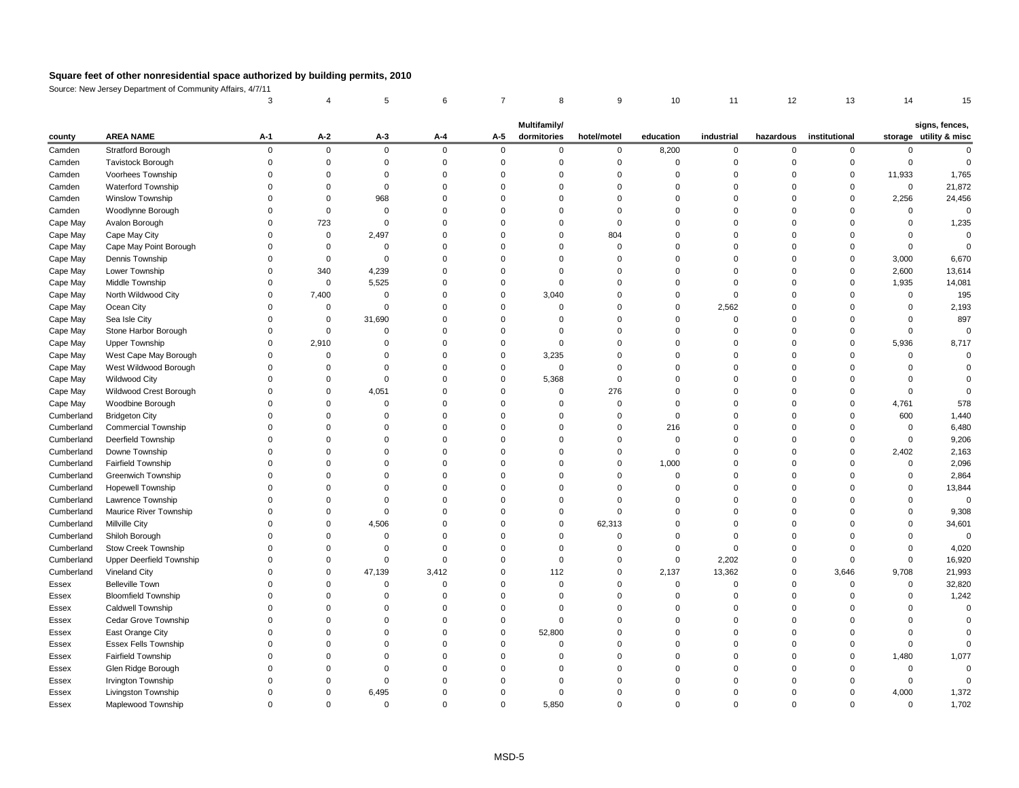Source: New Jersey Department of Community Affairs, 4/7/11

|            |                                 |             |                |          |             |             | <b>Multifamily/</b> |             |           |                |           |               |             | signs, fences,         |
|------------|---------------------------------|-------------|----------------|----------|-------------|-------------|---------------------|-------------|-----------|----------------|-----------|---------------|-------------|------------------------|
| county     | <b>AREA NAME</b>                | $A-1$       | $A-2$          | $A-3$    | $A-4$       | $A-5$       | dormitories         | hotel/motel | education | industrial     | hazardous | institutional |             | storage utility & misc |
| Camden     | <b>Stratford Borough</b>        | $\mathbf 0$ | $\overline{0}$ | $\Omega$ | $\mathbf 0$ | $\mathbf 0$ | $\Omega$            | $\mathbf 0$ | 8,200     | $\overline{0}$ | $\Omega$  | $\Omega$      |             |                        |
| Camden     | Tavistock Borough               |             | <sup>0</sup>   |          |             |             |                     |             |           |                |           |               |             |                        |
| Camden     | Voorhees Township               |             |                |          |             |             |                     |             |           |                |           |               | 11,933      | 1,765                  |
| Camden     | Waterford Township              |             |                |          |             |             |                     |             |           |                |           |               | $\mathbf 0$ | 21,872                 |
| Camden     | Winslow Township                |             |                | 968      |             |             |                     |             |           |                |           |               | 2,256       | 24,456                 |
| Camden     | Woodlynne Borough               |             | $\Omega$       |          |             |             |                     |             |           |                |           |               | $\Omega$    | 0                      |
| Cape May   | Avalon Borough                  |             | 723            |          |             |             |                     |             |           |                |           |               |             | 1,235                  |
| Cape May   | Cape May City                   |             | 0              | 2,497    |             |             |                     | 804         |           |                |           |               |             |                        |
| Cape May   | Cape May Point Borough          |             | 0              |          |             |             |                     |             |           |                |           |               |             |                        |
| Cape May   | Dennis Township                 |             | 0              |          |             |             |                     |             |           |                |           |               | 3,000       | 6,670                  |
| Cape May   | Lower Township                  |             | 340            | 4,239    |             |             |                     |             |           |                |           |               | 2,600       | 13,614                 |
| Cape May   | Middle Township                 |             | $\overline{0}$ | 5,525    |             |             |                     |             |           |                |           |               | 1,935       | 14,081                 |
| Cape May   | North Wildwood City             | $\Omega$    | 7,400          |          |             |             | 3,040               |             |           |                |           |               |             | 195                    |
| Cape May   | Ocean City                      |             | 0              |          |             |             |                     |             |           | 2,562          |           |               |             | 2,193                  |
| Cape May   | Sea Isle City                   |             | 0              | 31,690   |             |             |                     |             |           |                |           |               |             | 897                    |
| Cape May   | Stone Harbor Borough            |             | $\Omega$       |          |             |             |                     |             |           |                |           |               |             |                        |
| Cape May   | <b>Upper Township</b>           | $\Omega$    | 2,910          |          |             |             | $\Omega$            |             |           |                |           |               | 5,936       | 8,717                  |
| Cape May   | West Cape May Borough           |             |                |          |             |             | 3,235               |             |           |                |           |               |             |                        |
| Cape May   | West Wildwood Borough           |             |                |          |             |             | $\Omega$            |             |           |                |           |               |             |                        |
| Cape May   | <b>Wildwood City</b>            |             |                |          |             |             | 5,368               |             |           |                |           |               |             |                        |
| Cape May   | Wildwood Crest Borough          |             | 0              | 4,051    |             |             | $\Omega$            | 276         |           |                |           |               |             |                        |
| Cape May   | Woodbine Borough                |             |                |          |             |             |                     |             |           |                |           |               | 4,761       | 578                    |
| Cumberland | <b>Bridgeton City</b>           |             |                |          |             |             |                     |             |           |                |           |               | 600         | 1,440                  |
| Cumberland | <b>Commercial Township</b>      |             |                |          |             |             |                     |             | 216       |                |           |               | 0           | 6,480                  |
| Cumberland | Deerfield Township              |             |                |          |             |             |                     |             |           |                |           |               | $\Omega$    | 9,206                  |
| Cumberland | Downe Township                  |             |                |          |             |             |                     |             |           |                |           |               | 2,402       | 2,163                  |
| Cumberland | Fairfield Township              |             |                |          |             |             |                     | 0           | 1,000     |                |           |               | $\Omega$    | 2,096                  |
| Cumberland | <b>Greenwich Township</b>       |             |                |          |             |             |                     |             |           |                |           |               |             | 2,864                  |
| Cumberland | Hopewell Township               |             |                |          |             |             |                     |             |           |                |           |               |             | 13,844                 |
| Cumberland | Lawrence Township               |             |                |          |             |             |                     |             |           |                |           |               |             |                        |
| Cumberland | Maurice River Township          |             |                |          |             |             |                     |             |           |                |           |               |             | 9,308                  |
| Cumberland | Millville City                  |             |                | 4,506    |             |             |                     | 62,313      |           |                |           |               |             | 34,601                 |
| Cumberland | Shiloh Borough                  |             |                |          |             |             |                     |             |           |                |           |               |             | 0                      |
| Cumberland | Stow Creek Township             |             |                |          |             |             |                     |             |           |                |           |               |             | 4,020                  |
| Cumberland | <b>Upper Deerfield Township</b> |             |                |          |             |             |                     |             |           | 2,202          |           |               |             | 16,920                 |
| Cumberland | Vineland City                   |             |                | 47,139   | 3,412       |             | 112                 |             | 2,137     | 13,362         |           | 3,646         | 9,708       | 21,993                 |
| Essex      | <b>Belleville Town</b>          |             |                |          |             |             |                     |             |           |                |           |               |             | 32,820                 |
| Essex      | <b>Bloomfield Township</b>      |             |                |          |             |             |                     |             |           |                |           |               |             | 1,242                  |
| Essex      | Caldwell Township               |             |                |          |             |             |                     |             |           |                |           |               |             |                        |
| Essex      | Cedar Grove Township            |             |                |          |             |             |                     |             |           |                |           |               |             |                        |
| Essex      | East Orange City                |             |                |          |             |             | 52,800              |             |           |                |           |               |             |                        |
| Essex      | <b>Essex Fells Township</b>     |             |                |          |             |             |                     |             |           |                |           |               |             |                        |
| Essex      | Fairfield Township              |             |                |          |             |             |                     |             |           |                |           |               | 1,480       | 1,077                  |
| Essex      | Glen Ridge Borough              |             |                |          |             |             |                     |             |           |                |           |               |             |                        |
| Essex      | Irvington Township              |             |                |          |             |             |                     |             |           |                |           |               |             |                        |
| Essex      | Livingston Township             |             | 0              | 6,495    |             |             |                     |             |           |                |           |               | 4,000       |                        |
|            |                                 |             |                |          |             | $\Omega$    |                     | 0           |           |                |           |               |             | 1,372                  |
| Essex      | Maplewood Township              | 0           | $\mathbf 0$    |          |             |             | 5,850               |             |           |                |           |               | $\mathbf 0$ | 1,702                  |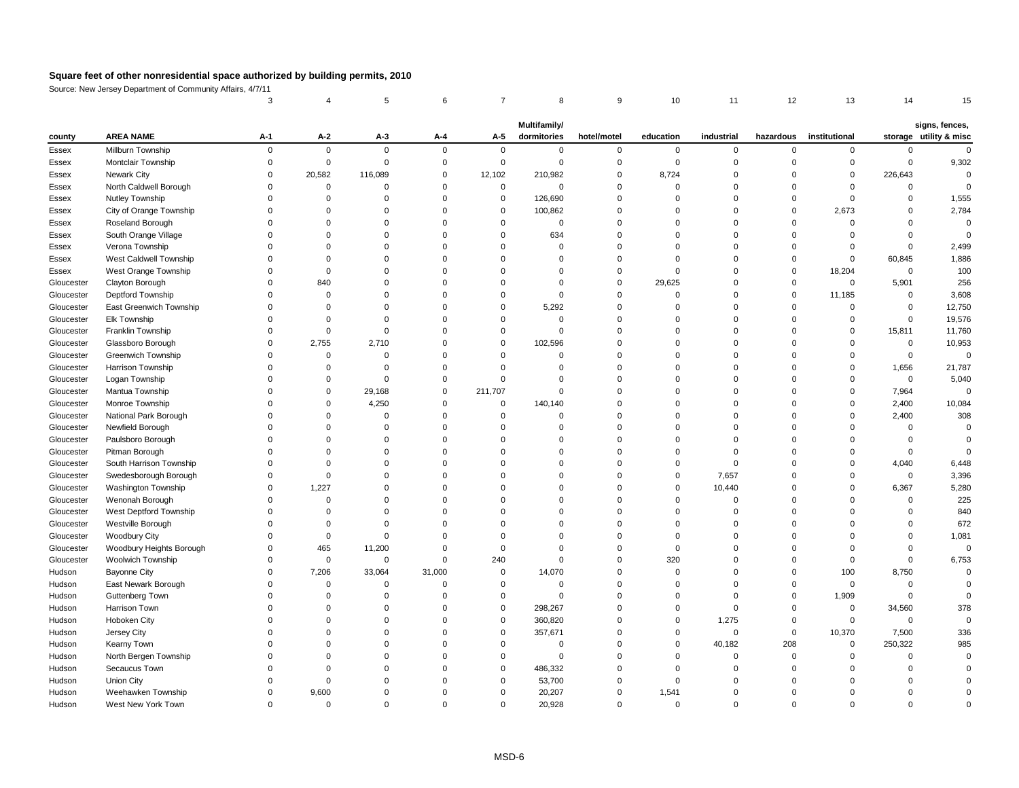Source: New Jersey Department of Community Affairs, 4/7/11

|            |                          |       |             |          |             |                | <b>Multifamily/</b> |             |           |            |           |               |          | signs, fences,         |
|------------|--------------------------|-------|-------------|----------|-------------|----------------|---------------------|-------------|-----------|------------|-----------|---------------|----------|------------------------|
| county     | <b>AREA NAME</b>         | $A-1$ | $A-2$       | $A-3$    | $A-4$       | $A-5$          | dormitories         | hotel/motel | education | industrial | hazardous | institutional |          | storage utility & misc |
| Essex      | Millburn Township        |       | $\Omega$    | $\Omega$ | $\mathbf 0$ | $\Omega$       |                     |             |           | $\Omega$   |           |               |          |                        |
| Essex      | Montclair Township       |       |             |          |             |                |                     |             |           |            |           |               |          | 9,302                  |
| Essex      | <b>Newark City</b>       |       | 20,582      | 116,089  |             | 12,102         | 210,982             |             | 8,724     |            |           |               | 226,643  |                        |
| Essex      | North Caldwell Borough   |       |             |          |             | $\Omega$       |                     |             |           |            |           |               |          |                        |
| Essex      | Nutley Township          |       |             |          |             | 0              | 126,690             |             |           |            |           |               |          | 1,555                  |
| Essex      | City of Orange Township  |       |             |          |             | $\Omega$       | 100,862             |             |           |            |           | 2,673         |          | 2,784                  |
| Essex      | Roseland Borough         |       |             |          |             |                |                     |             |           |            |           |               |          |                        |
| Essex      | South Orange Village     |       |             |          |             |                | 634                 |             |           |            |           |               |          |                        |
| Essex      | Verona Township          |       |             |          |             |                |                     |             |           |            |           |               |          | 2,499                  |
| Essex      | West Caldwell Township   |       |             |          |             |                |                     |             |           |            |           |               | 60,845   | 1,886                  |
| Essex      | West Orange Township     |       |             |          |             |                |                     |             |           |            |           | 18,204        | $\Omega$ | 100                    |
| Gloucester | Clayton Borough          |       | 840         |          |             |                |                     |             | 29,625    |            |           | $\Omega$      | 5,901    | 256                    |
| Gloucester | Deptford Township        |       |             |          |             |                |                     |             |           |            |           | 11,185        |          | 3,608                  |
| Gloucester | East Greenwich Township  |       |             |          |             |                | 5,292               |             |           |            |           |               |          | 12,750                 |
| Gloucester | Elk Township             |       |             |          |             |                |                     |             |           |            |           |               |          | 19,576                 |
| Gloucester | Franklin Township        |       |             |          |             |                |                     |             |           |            |           |               | 15,811   | 11,760                 |
| Gloucester | Glassboro Borough        |       | 2,755       | 2,710    |             |                | 102,596             |             |           |            |           |               |          | 10,953                 |
| Gloucester | Greenwich Township       |       |             |          |             |                |                     |             |           |            |           |               |          |                        |
| Gloucester | Harrison Township        |       |             |          |             |                |                     |             |           |            |           |               | 1,656    | 21,787                 |
| Gloucester | Logan Township           |       |             |          |             |                |                     |             |           |            |           |               | $\Omega$ | 5,040                  |
| Gloucester | Mantua Township          |       | $\Omega$    | 29,168   | 0           | 211,707        |                     |             |           |            |           |               | 7,964    |                        |
| Gloucester | Monroe Township          |       |             | 4,250    |             | 0              | 140,140             |             |           |            |           |               | 2,400    | 10,084                 |
| Gloucester | National Park Borough    |       |             |          |             |                |                     |             |           |            |           |               | 2,400    | 308                    |
| Gloucester | Newfield Borough         |       |             |          |             |                |                     |             |           |            |           |               |          |                        |
| Gloucester | Paulsboro Borough        |       |             |          |             |                |                     |             |           |            |           |               |          |                        |
| Gloucester | Pitman Borough           |       |             |          |             |                |                     |             |           |            |           |               |          |                        |
| Gloucester | South Harrison Township  |       |             |          |             |                |                     |             |           |            |           |               | 4,040    | 6,448                  |
| Gloucester | Swedesborough Borough    |       |             |          |             |                |                     |             |           | 7,657      |           |               |          | 3,396                  |
| Gloucester | Washington Township      |       | 1,227       |          |             |                |                     |             |           | 10,440     |           |               | 6,367    | 5,280                  |
| Gloucester | Wenonah Borough          |       |             |          |             |                |                     |             |           |            |           |               |          | 225                    |
| Gloucester | West Deptford Township   |       | ∩           |          |             |                |                     |             |           |            |           |               |          | 840                    |
| Gloucester | Westville Borough        |       |             |          |             |                |                     |             |           |            |           |               |          | 672                    |
| Gloucester | <b>Woodbury City</b>     |       |             |          |             |                |                     |             |           |            |           |               |          | 1,081                  |
| Gloucester | Woodbury Heights Borough |       | 465         | 11,200   |             |                |                     |             |           |            |           |               |          | 0                      |
| Gloucester | Woolwich Township        |       | $\mathbf 0$ | $\Omega$ | $\Omega$    | 240            |                     |             | 320       |            |           |               |          | 6,753                  |
| Hudson     | <b>Bayonne City</b>      |       | 7,206       | 33,064   | 31,000      | $\overline{0}$ | 14,070              |             |           |            |           | 100           | 8,750    |                        |
| Hudson     | East Newark Borough      |       | ∩           |          |             | $\Omega$       |                     |             |           |            |           |               |          |                        |
| Hudson     | Guttenberg Town          |       |             |          |             |                |                     |             |           |            |           | 1,909         |          |                        |
| Hudson     | Harrison Town            |       | ∩           |          |             | $\Omega$       | 298,267             |             |           |            |           | $\Omega$      | 34,560   | 378                    |
| Hudson     | Hoboken City             |       |             |          |             | $\Omega$       | 360,820             |             |           | 1,275      |           |               |          |                        |
| Hudson     | Jersey City              |       |             |          |             | $\Omega$       | 357,671             |             |           | $\Omega$   | $\Omega$  | 10,370        | 7,500    | 336                    |
| Hudson     | Kearny Town              |       |             |          |             |                |                     |             |           | 40,182     | 208       | $\Omega$      | 250,322  | 985                    |
| Hudson     | North Bergen Township    |       |             |          |             |                |                     |             |           |            |           |               |          |                        |
| Hudson     | Secaucus Town            |       |             |          |             | $\Omega$       | 486,332             |             |           |            |           |               |          |                        |
| Hudson     | Union City               |       |             |          |             | $\Omega$       | 53,700              |             |           |            |           |               |          |                        |
| Hudson     | Weehawken Township       |       | 9,600       |          |             | 0              | 20,207              | $\Omega$    | 1,541     |            |           |               |          |                        |
| Hudson     | West New York Town       |       | $\mathbf 0$ |          | $\mathbf 0$ | $\mathbf 0$    | 20,928              | 0           | 0         | 0          | $\Omega$  |               |          |                        |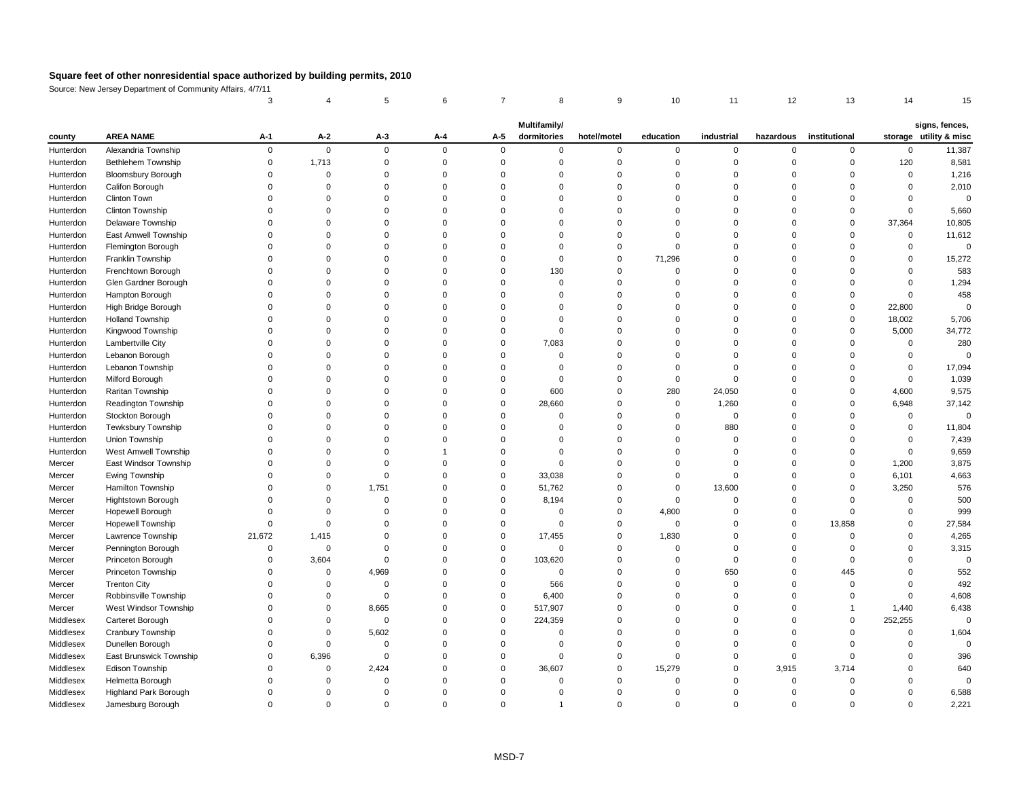Source: New Jersey Department of Community Affairs, 4/7/11

|           |                             |          |             |          |             |          | <b>Multifamily/</b> |             |           |                |           |               |          | signs, fences,         |
|-----------|-----------------------------|----------|-------------|----------|-------------|----------|---------------------|-------------|-----------|----------------|-----------|---------------|----------|------------------------|
| county    | <b>AREA NAME</b>            | $A-1$    | $A-2$       | $A-3$    | $A-4$       | $A-5$    | dormitories         | hotel/motel | education | industrial     | hazardous | institutional |          | storage utility & misc |
| Hunterdon | Alexandria Township         | $\Omega$ | $\mathbf 0$ | $\Omega$ | $\mathbf 0$ | $\Omega$ | $\Omega$            | $\Omega$    | 0         | $\overline{0}$ | ∩         | $\Omega$      | $\Omega$ | 11,387                 |
| Hunterdon | <b>Bethlehem Township</b>   |          | 1,713       |          |             |          |                     |             |           |                |           |               | 120      | 8,581                  |
| Hunterdon | <b>Bloomsbury Borough</b>   |          | ∩           |          |             |          |                     |             |           |                |           |               | $\Omega$ | 1,216                  |
| Hunterdon | Califon Borough             |          |             |          |             |          |                     |             |           |                |           |               |          | 2,010                  |
| Hunterdon | <b>Clinton Town</b>         |          |             |          |             |          |                     |             |           |                |           |               |          |                        |
| Hunterdon | Clinton Township            |          |             |          |             |          |                     |             |           |                |           |               |          | 5,660                  |
| Hunterdon | Delaware Township           |          |             |          |             |          |                     |             |           |                |           |               | 37,364   | 10,805                 |
| Hunterdon | East Amwell Township        |          |             |          |             |          |                     |             |           |                |           |               | 0        | 11,612                 |
| Hunterdon | Flemington Borough          |          |             |          |             |          |                     |             |           |                |           |               |          | $\mathbf 0$            |
| Hunterdon | Franklin Township           |          |             |          |             |          |                     |             | 71,296    |                |           |               |          | 15,272                 |
| Hunterdon | Frenchtown Borough          |          |             |          |             |          | 130                 |             |           |                |           |               |          | 583                    |
| Hunterdon | Glen Gardner Borough        |          |             |          |             |          |                     |             |           |                |           |               |          | 1,294                  |
| Hunterdon | Hampton Borough             |          |             |          |             |          |                     |             |           |                |           |               |          | 458                    |
| Hunterdon | High Bridge Borough         |          |             |          |             |          |                     |             |           |                |           |               | 22,800   |                        |
| Hunterdon | <b>Holland Township</b>     |          |             |          |             |          |                     |             |           |                |           |               | 18,002   | 5,706                  |
| Hunterdon | Kingwood Township           |          |             |          |             |          |                     |             |           |                |           |               | 5,000    | 34,772                 |
| Hunterdon | Lambertville City           |          |             |          |             |          | 7,083               |             |           |                |           |               |          | 280                    |
| Hunterdon | Lebanon Borough             |          |             |          |             |          |                     |             |           |                |           |               |          |                        |
| Hunterdon | Lebanon Township            |          |             |          |             |          |                     |             |           |                |           |               |          | 17,094                 |
| Hunterdon | Milford Borough             |          |             |          |             |          |                     |             |           |                |           |               |          | 1,039                  |
| Hunterdon | Raritan Township            |          |             |          |             |          | 600                 |             | 280       | 24,050         |           |               | 4,600    | 9,575                  |
| Hunterdon | Readington Township         |          |             |          |             | $\Omega$ | 28,660              |             | 0         | 1,260          |           |               | 6,948    | 37,142                 |
| Hunterdon | Stockton Borough            |          |             |          |             |          |                     |             |           | -0             |           |               | $\Omega$ | 0                      |
| Hunterdon | Tewksbury Township          |          |             |          |             |          |                     |             |           | 880            |           |               | $\Omega$ | 11,804                 |
| Hunterdon | Union Township              |          |             |          |             |          |                     |             |           |                |           |               | $\Omega$ | 7,439                  |
| Hunterdon | <b>West Amwell Township</b> |          |             |          |             |          |                     |             |           |                |           |               |          | 9,659                  |
| Mercer    | East Windsor Township       |          |             |          |             |          |                     |             |           |                |           |               | 1,200    | 3,875                  |
| Mercer    | Ewing Township              |          |             |          |             |          | 33,038              |             |           |                |           |               | 6,101    | 4,663                  |
| Mercer    | Hamilton Township           |          |             | 1,751    |             | 0        | 51,762              |             |           | 13,600         |           |               | 3,250    | 576                    |
| Mercer    | Hightstown Borough          |          | ∩           |          |             |          | 8,194               |             |           |                |           |               |          | 500                    |
| Mercer    | Hopewell Borough            |          |             |          |             |          |                     |             | 4,800     |                |           |               |          | 999                    |
| Mercer    | Hopewell Township           |          | ∩           |          |             |          |                     |             | 0         |                |           | 13,858        |          | 27,584                 |
| Mercer    | Lawrence Township           | 21,672   | 1,415       |          |             |          | 17,455              |             | 1,830     |                |           |               |          | 4,265                  |
| Mercer    | Pennington Borough          |          | $\Omega$    |          |             | $\Omega$ |                     |             |           |                |           |               |          | 3,315                  |
| Mercer    | Princeton Borough           |          | 3,604       |          |             | 0        | 103,620             |             |           |                |           |               |          |                        |
| Mercer    | Princeton Township          |          | $\Omega$    | 4,969    |             |          |                     |             |           | 650            |           | 445           |          | 552                    |
| Mercer    | <b>Trenton City</b>         |          |             |          |             |          | 566                 |             |           |                |           |               |          | 492                    |
| Mercer    | Robbinsville Township       |          | $\Omega$    |          |             | $\Omega$ | 6,400               |             |           |                |           |               |          | 4,608                  |
| Mercer    | West Windsor Township       |          | $\Omega$    | 8,665    |             | 0        | 517,907             |             |           |                |           |               | 1,440    | 6,438                  |
| Middlesex | Carteret Borough            |          | ∩           |          |             | $\Omega$ | 224,359             |             |           |                |           |               | 252,255  |                        |
| Middlesex | Cranbury Township           |          | ∩           | 5,602    |             |          |                     |             |           |                |           |               |          | 1,604                  |
| Middlesex | Dunellen Borough            |          | ∩           |          |             |          |                     |             |           |                |           |               |          |                        |
| Middlesex | East Brunswick Township     |          | 6,396       |          |             |          |                     |             |           |                |           |               |          | 396                    |
| Middlesex | Edison Township             |          | 0           | 2,424    |             | $\Omega$ | 36,607              | $\Omega$    | 15,279    |                | 3,915     | 3,714         |          | 640                    |
| Middlesex | Helmetta Borough            |          | ∩           |          |             |          |                     |             |           |                |           |               |          |                        |
| Middlesex | Highland Park Borough       |          | 0           |          |             |          |                     |             |           |                |           |               | $\Omega$ | 6,588                  |
| Middlesex | Jamesburg Borough           | 0        | $\Omega$    | 0        | 0           | 0        |                     | 0           |           | 0              | $\Omega$  |               | 0        | 2,221                  |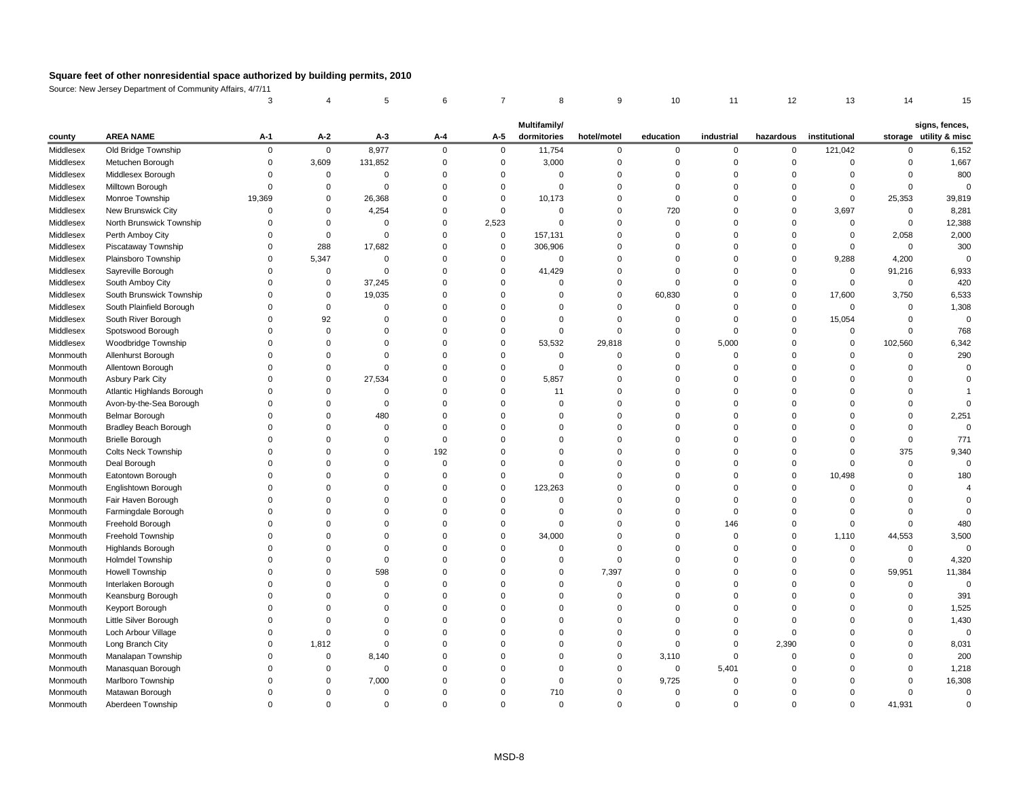Source: New Jersey Department of Community Affairs, 4/7/11

| <b>AREA NAME</b><br>$A-2$<br>storage utility & misc<br>$A-1$<br>$A-3$<br>$A - 4$<br>dormitories<br>education<br>industrial<br>institutional<br>$A-5$<br>hotel/motel<br>hazardous<br>county<br>Middlesex<br>Old Bridge Township<br>8,977<br>11,754<br>121,042<br>$\mathbf 0$<br>$\mathbf 0$<br>$\Omega$<br>$\overline{0}$<br>$\Omega$<br>0<br>$\Omega$<br>∩<br>$\Omega$<br>Metuchen Borough<br>3,609<br>131,852<br>3,000<br>Middlesex<br>റ<br>Middlesex<br>Middlesex Borough<br>$\Omega$<br>0<br>Milltown Borough<br>Middlesex<br>∩<br>Middlesex<br>Monroe Township<br>19,369<br>26,368<br>10,173<br>25,353<br>0<br>$\Omega$<br>$\Omega$<br>New Brunswick City<br>4,254<br>Middlesex<br>720<br>3,697<br>$\Omega$<br>$\Omega$<br>North Brunswick Township<br>2,523<br>Middlesex<br>0<br>0<br>$\Omega$<br>Perth Amboy City<br>Middlesex<br>157,131<br>2,058<br>$\overline{0}$<br>$\Omega$<br>∩<br>288<br>17,682<br>Middlesex<br>Piscataway Township<br>306,906<br>0<br>Middlesex<br>Plainsboro Township<br>5,347<br>9,288<br>4,200<br>Sayreville Borough<br>41,429<br>91,216<br>Middlesex<br>$\Omega$<br>0<br>0<br>South Amboy City<br>Middlesex<br>37,245<br>$\Omega$<br>0<br>South Brunswick Township<br>Middlesex<br>19,035<br>60,830<br>17,600<br>3,750<br>0<br>South Plainfield Borough<br>Middlesex<br>$\Omega$<br>$\Omega$<br>South River Borough<br>15,054<br>Middlesex<br>92<br>Spotswood Borough<br>Middlesex<br>Middlesex<br>Woodbridge Township<br>53,532<br>5,000<br>102,560<br>29,818<br>0<br>Allenhurst Borough<br>Monmouth<br>Allentown Borough<br>Monmouth<br>Asbury Park City<br>27,534<br>5,857<br>Monmouth<br>0<br>Atlantic Highlands Borough<br>Monmouth<br>11<br>Avon-by-the-Sea Borough<br>Monmouth<br>480<br>Belmar Borough<br>Monmouth<br><b>Bradley Beach Borough</b><br>Monmouth<br>∩<br>0<br><b>Brielle Borough</b><br>Monmouth<br><b>Colts Neck Township</b><br>192<br>375<br>Monmouth<br>Deal Borough<br>Monmouth<br>Eatontown Borough<br>Monmouth<br>10,498<br>Englishtown Borough<br>123,263<br>Monmouth<br>Fair Haven Borough<br>Monmouth<br>Farmingdale Borough<br>Monmouth<br>Freehold Borough<br>146<br>Monmouth<br>Freehold Township<br>34,000<br>1,110<br>44,553<br>Monmouth<br><b>Highlands Borough</b><br>Monmouth<br>Holmdel Township<br>Monmouth<br>7,397<br><b>Howell Township</b><br>598<br>59,951<br>Monmouth<br>Monmouth<br>Interlaken Borough<br>Keansburg Borough<br>Monmouth<br>Monmouth<br>Keyport Borough<br>Little Silver Borough<br>Monmouth<br>Monmouth<br>Loch Arbour Village<br>Long Branch City<br>1,812<br>2,390<br>Monmouth<br>Manalapan Township<br>8,140<br>3,110<br>Monmouth<br>$\Omega$<br>Monmouth<br>Manasquan Borough<br>5,401<br>0<br>7,000<br>9,725<br>Marlboro Township<br>Monmouth<br>0<br>710<br>Matawan Borough<br>Monmouth<br>41,931<br>Monmouth<br>Aberdeen Township<br>$\Omega$<br>0<br>$\Omega$<br>0<br>0<br>$\Omega$<br>$\Omega$ |  |  |  | <b>Multifamily/</b> |  |  |  | signs, fences, |
|------------------------------------------------------------------------------------------------------------------------------------------------------------------------------------------------------------------------------------------------------------------------------------------------------------------------------------------------------------------------------------------------------------------------------------------------------------------------------------------------------------------------------------------------------------------------------------------------------------------------------------------------------------------------------------------------------------------------------------------------------------------------------------------------------------------------------------------------------------------------------------------------------------------------------------------------------------------------------------------------------------------------------------------------------------------------------------------------------------------------------------------------------------------------------------------------------------------------------------------------------------------------------------------------------------------------------------------------------------------------------------------------------------------------------------------------------------------------------------------------------------------------------------------------------------------------------------------------------------------------------------------------------------------------------------------------------------------------------------------------------------------------------------------------------------------------------------------------------------------------------------------------------------------------------------------------------------------------------------------------------------------------------------------------------------------------------------------------------------------------------------------------------------------------------------------------------------------------------------------------------------------------------------------------------------------------------------------------------------------------------------------------------------------------------------------------------------------------------------------------------------------------------------------------------------------------------------------------------------------------------------------------------------------------------------------------------------------------------------------------------------------------------------------------------------------------------------------------------------------------------------------------------------|--|--|--|---------------------|--|--|--|----------------|
|                                                                                                                                                                                                                                                                                                                                                                                                                                                                                                                                                                                                                                                                                                                                                                                                                                                                                                                                                                                                                                                                                                                                                                                                                                                                                                                                                                                                                                                                                                                                                                                                                                                                                                                                                                                                                                                                                                                                                                                                                                                                                                                                                                                                                                                                                                                                                                                                                                                                                                                                                                                                                                                                                                                                                                                                                                                                                                            |  |  |  |                     |  |  |  |                |
|                                                                                                                                                                                                                                                                                                                                                                                                                                                                                                                                                                                                                                                                                                                                                                                                                                                                                                                                                                                                                                                                                                                                                                                                                                                                                                                                                                                                                                                                                                                                                                                                                                                                                                                                                                                                                                                                                                                                                                                                                                                                                                                                                                                                                                                                                                                                                                                                                                                                                                                                                                                                                                                                                                                                                                                                                                                                                                            |  |  |  |                     |  |  |  | 6,152          |
|                                                                                                                                                                                                                                                                                                                                                                                                                                                                                                                                                                                                                                                                                                                                                                                                                                                                                                                                                                                                                                                                                                                                                                                                                                                                                                                                                                                                                                                                                                                                                                                                                                                                                                                                                                                                                                                                                                                                                                                                                                                                                                                                                                                                                                                                                                                                                                                                                                                                                                                                                                                                                                                                                                                                                                                                                                                                                                            |  |  |  |                     |  |  |  | 1,667          |
|                                                                                                                                                                                                                                                                                                                                                                                                                                                                                                                                                                                                                                                                                                                                                                                                                                                                                                                                                                                                                                                                                                                                                                                                                                                                                                                                                                                                                                                                                                                                                                                                                                                                                                                                                                                                                                                                                                                                                                                                                                                                                                                                                                                                                                                                                                                                                                                                                                                                                                                                                                                                                                                                                                                                                                                                                                                                                                            |  |  |  |                     |  |  |  | 800            |
|                                                                                                                                                                                                                                                                                                                                                                                                                                                                                                                                                                                                                                                                                                                                                                                                                                                                                                                                                                                                                                                                                                                                                                                                                                                                                                                                                                                                                                                                                                                                                                                                                                                                                                                                                                                                                                                                                                                                                                                                                                                                                                                                                                                                                                                                                                                                                                                                                                                                                                                                                                                                                                                                                                                                                                                                                                                                                                            |  |  |  |                     |  |  |  |                |
|                                                                                                                                                                                                                                                                                                                                                                                                                                                                                                                                                                                                                                                                                                                                                                                                                                                                                                                                                                                                                                                                                                                                                                                                                                                                                                                                                                                                                                                                                                                                                                                                                                                                                                                                                                                                                                                                                                                                                                                                                                                                                                                                                                                                                                                                                                                                                                                                                                                                                                                                                                                                                                                                                                                                                                                                                                                                                                            |  |  |  |                     |  |  |  | 39,819         |
|                                                                                                                                                                                                                                                                                                                                                                                                                                                                                                                                                                                                                                                                                                                                                                                                                                                                                                                                                                                                                                                                                                                                                                                                                                                                                                                                                                                                                                                                                                                                                                                                                                                                                                                                                                                                                                                                                                                                                                                                                                                                                                                                                                                                                                                                                                                                                                                                                                                                                                                                                                                                                                                                                                                                                                                                                                                                                                            |  |  |  |                     |  |  |  | 8,281          |
|                                                                                                                                                                                                                                                                                                                                                                                                                                                                                                                                                                                                                                                                                                                                                                                                                                                                                                                                                                                                                                                                                                                                                                                                                                                                                                                                                                                                                                                                                                                                                                                                                                                                                                                                                                                                                                                                                                                                                                                                                                                                                                                                                                                                                                                                                                                                                                                                                                                                                                                                                                                                                                                                                                                                                                                                                                                                                                            |  |  |  |                     |  |  |  | 12,388         |
|                                                                                                                                                                                                                                                                                                                                                                                                                                                                                                                                                                                                                                                                                                                                                                                                                                                                                                                                                                                                                                                                                                                                                                                                                                                                                                                                                                                                                                                                                                                                                                                                                                                                                                                                                                                                                                                                                                                                                                                                                                                                                                                                                                                                                                                                                                                                                                                                                                                                                                                                                                                                                                                                                                                                                                                                                                                                                                            |  |  |  |                     |  |  |  | 2,000          |
|                                                                                                                                                                                                                                                                                                                                                                                                                                                                                                                                                                                                                                                                                                                                                                                                                                                                                                                                                                                                                                                                                                                                                                                                                                                                                                                                                                                                                                                                                                                                                                                                                                                                                                                                                                                                                                                                                                                                                                                                                                                                                                                                                                                                                                                                                                                                                                                                                                                                                                                                                                                                                                                                                                                                                                                                                                                                                                            |  |  |  |                     |  |  |  | 300            |
|                                                                                                                                                                                                                                                                                                                                                                                                                                                                                                                                                                                                                                                                                                                                                                                                                                                                                                                                                                                                                                                                                                                                                                                                                                                                                                                                                                                                                                                                                                                                                                                                                                                                                                                                                                                                                                                                                                                                                                                                                                                                                                                                                                                                                                                                                                                                                                                                                                                                                                                                                                                                                                                                                                                                                                                                                                                                                                            |  |  |  |                     |  |  |  |                |
|                                                                                                                                                                                                                                                                                                                                                                                                                                                                                                                                                                                                                                                                                                                                                                                                                                                                                                                                                                                                                                                                                                                                                                                                                                                                                                                                                                                                                                                                                                                                                                                                                                                                                                                                                                                                                                                                                                                                                                                                                                                                                                                                                                                                                                                                                                                                                                                                                                                                                                                                                                                                                                                                                                                                                                                                                                                                                                            |  |  |  |                     |  |  |  | 6,933          |
|                                                                                                                                                                                                                                                                                                                                                                                                                                                                                                                                                                                                                                                                                                                                                                                                                                                                                                                                                                                                                                                                                                                                                                                                                                                                                                                                                                                                                                                                                                                                                                                                                                                                                                                                                                                                                                                                                                                                                                                                                                                                                                                                                                                                                                                                                                                                                                                                                                                                                                                                                                                                                                                                                                                                                                                                                                                                                                            |  |  |  |                     |  |  |  | 420            |
|                                                                                                                                                                                                                                                                                                                                                                                                                                                                                                                                                                                                                                                                                                                                                                                                                                                                                                                                                                                                                                                                                                                                                                                                                                                                                                                                                                                                                                                                                                                                                                                                                                                                                                                                                                                                                                                                                                                                                                                                                                                                                                                                                                                                                                                                                                                                                                                                                                                                                                                                                                                                                                                                                                                                                                                                                                                                                                            |  |  |  |                     |  |  |  | 6,533          |
|                                                                                                                                                                                                                                                                                                                                                                                                                                                                                                                                                                                                                                                                                                                                                                                                                                                                                                                                                                                                                                                                                                                                                                                                                                                                                                                                                                                                                                                                                                                                                                                                                                                                                                                                                                                                                                                                                                                                                                                                                                                                                                                                                                                                                                                                                                                                                                                                                                                                                                                                                                                                                                                                                                                                                                                                                                                                                                            |  |  |  |                     |  |  |  | 1,308          |
|                                                                                                                                                                                                                                                                                                                                                                                                                                                                                                                                                                                                                                                                                                                                                                                                                                                                                                                                                                                                                                                                                                                                                                                                                                                                                                                                                                                                                                                                                                                                                                                                                                                                                                                                                                                                                                                                                                                                                                                                                                                                                                                                                                                                                                                                                                                                                                                                                                                                                                                                                                                                                                                                                                                                                                                                                                                                                                            |  |  |  |                     |  |  |  |                |
|                                                                                                                                                                                                                                                                                                                                                                                                                                                                                                                                                                                                                                                                                                                                                                                                                                                                                                                                                                                                                                                                                                                                                                                                                                                                                                                                                                                                                                                                                                                                                                                                                                                                                                                                                                                                                                                                                                                                                                                                                                                                                                                                                                                                                                                                                                                                                                                                                                                                                                                                                                                                                                                                                                                                                                                                                                                                                                            |  |  |  |                     |  |  |  | 768            |
|                                                                                                                                                                                                                                                                                                                                                                                                                                                                                                                                                                                                                                                                                                                                                                                                                                                                                                                                                                                                                                                                                                                                                                                                                                                                                                                                                                                                                                                                                                                                                                                                                                                                                                                                                                                                                                                                                                                                                                                                                                                                                                                                                                                                                                                                                                                                                                                                                                                                                                                                                                                                                                                                                                                                                                                                                                                                                                            |  |  |  |                     |  |  |  | 6,342          |
|                                                                                                                                                                                                                                                                                                                                                                                                                                                                                                                                                                                                                                                                                                                                                                                                                                                                                                                                                                                                                                                                                                                                                                                                                                                                                                                                                                                                                                                                                                                                                                                                                                                                                                                                                                                                                                                                                                                                                                                                                                                                                                                                                                                                                                                                                                                                                                                                                                                                                                                                                                                                                                                                                                                                                                                                                                                                                                            |  |  |  |                     |  |  |  | 290            |
|                                                                                                                                                                                                                                                                                                                                                                                                                                                                                                                                                                                                                                                                                                                                                                                                                                                                                                                                                                                                                                                                                                                                                                                                                                                                                                                                                                                                                                                                                                                                                                                                                                                                                                                                                                                                                                                                                                                                                                                                                                                                                                                                                                                                                                                                                                                                                                                                                                                                                                                                                                                                                                                                                                                                                                                                                                                                                                            |  |  |  |                     |  |  |  |                |
|                                                                                                                                                                                                                                                                                                                                                                                                                                                                                                                                                                                                                                                                                                                                                                                                                                                                                                                                                                                                                                                                                                                                                                                                                                                                                                                                                                                                                                                                                                                                                                                                                                                                                                                                                                                                                                                                                                                                                                                                                                                                                                                                                                                                                                                                                                                                                                                                                                                                                                                                                                                                                                                                                                                                                                                                                                                                                                            |  |  |  |                     |  |  |  |                |
|                                                                                                                                                                                                                                                                                                                                                                                                                                                                                                                                                                                                                                                                                                                                                                                                                                                                                                                                                                                                                                                                                                                                                                                                                                                                                                                                                                                                                                                                                                                                                                                                                                                                                                                                                                                                                                                                                                                                                                                                                                                                                                                                                                                                                                                                                                                                                                                                                                                                                                                                                                                                                                                                                                                                                                                                                                                                                                            |  |  |  |                     |  |  |  |                |
|                                                                                                                                                                                                                                                                                                                                                                                                                                                                                                                                                                                                                                                                                                                                                                                                                                                                                                                                                                                                                                                                                                                                                                                                                                                                                                                                                                                                                                                                                                                                                                                                                                                                                                                                                                                                                                                                                                                                                                                                                                                                                                                                                                                                                                                                                                                                                                                                                                                                                                                                                                                                                                                                                                                                                                                                                                                                                                            |  |  |  |                     |  |  |  |                |
|                                                                                                                                                                                                                                                                                                                                                                                                                                                                                                                                                                                                                                                                                                                                                                                                                                                                                                                                                                                                                                                                                                                                                                                                                                                                                                                                                                                                                                                                                                                                                                                                                                                                                                                                                                                                                                                                                                                                                                                                                                                                                                                                                                                                                                                                                                                                                                                                                                                                                                                                                                                                                                                                                                                                                                                                                                                                                                            |  |  |  |                     |  |  |  | 2,251          |
|                                                                                                                                                                                                                                                                                                                                                                                                                                                                                                                                                                                                                                                                                                                                                                                                                                                                                                                                                                                                                                                                                                                                                                                                                                                                                                                                                                                                                                                                                                                                                                                                                                                                                                                                                                                                                                                                                                                                                                                                                                                                                                                                                                                                                                                                                                                                                                                                                                                                                                                                                                                                                                                                                                                                                                                                                                                                                                            |  |  |  |                     |  |  |  |                |
|                                                                                                                                                                                                                                                                                                                                                                                                                                                                                                                                                                                                                                                                                                                                                                                                                                                                                                                                                                                                                                                                                                                                                                                                                                                                                                                                                                                                                                                                                                                                                                                                                                                                                                                                                                                                                                                                                                                                                                                                                                                                                                                                                                                                                                                                                                                                                                                                                                                                                                                                                                                                                                                                                                                                                                                                                                                                                                            |  |  |  |                     |  |  |  | 771            |
|                                                                                                                                                                                                                                                                                                                                                                                                                                                                                                                                                                                                                                                                                                                                                                                                                                                                                                                                                                                                                                                                                                                                                                                                                                                                                                                                                                                                                                                                                                                                                                                                                                                                                                                                                                                                                                                                                                                                                                                                                                                                                                                                                                                                                                                                                                                                                                                                                                                                                                                                                                                                                                                                                                                                                                                                                                                                                                            |  |  |  |                     |  |  |  | 9,340          |
|                                                                                                                                                                                                                                                                                                                                                                                                                                                                                                                                                                                                                                                                                                                                                                                                                                                                                                                                                                                                                                                                                                                                                                                                                                                                                                                                                                                                                                                                                                                                                                                                                                                                                                                                                                                                                                                                                                                                                                                                                                                                                                                                                                                                                                                                                                                                                                                                                                                                                                                                                                                                                                                                                                                                                                                                                                                                                                            |  |  |  |                     |  |  |  |                |
|                                                                                                                                                                                                                                                                                                                                                                                                                                                                                                                                                                                                                                                                                                                                                                                                                                                                                                                                                                                                                                                                                                                                                                                                                                                                                                                                                                                                                                                                                                                                                                                                                                                                                                                                                                                                                                                                                                                                                                                                                                                                                                                                                                                                                                                                                                                                                                                                                                                                                                                                                                                                                                                                                                                                                                                                                                                                                                            |  |  |  |                     |  |  |  | 180            |
|                                                                                                                                                                                                                                                                                                                                                                                                                                                                                                                                                                                                                                                                                                                                                                                                                                                                                                                                                                                                                                                                                                                                                                                                                                                                                                                                                                                                                                                                                                                                                                                                                                                                                                                                                                                                                                                                                                                                                                                                                                                                                                                                                                                                                                                                                                                                                                                                                                                                                                                                                                                                                                                                                                                                                                                                                                                                                                            |  |  |  |                     |  |  |  |                |
|                                                                                                                                                                                                                                                                                                                                                                                                                                                                                                                                                                                                                                                                                                                                                                                                                                                                                                                                                                                                                                                                                                                                                                                                                                                                                                                                                                                                                                                                                                                                                                                                                                                                                                                                                                                                                                                                                                                                                                                                                                                                                                                                                                                                                                                                                                                                                                                                                                                                                                                                                                                                                                                                                                                                                                                                                                                                                                            |  |  |  |                     |  |  |  |                |
|                                                                                                                                                                                                                                                                                                                                                                                                                                                                                                                                                                                                                                                                                                                                                                                                                                                                                                                                                                                                                                                                                                                                                                                                                                                                                                                                                                                                                                                                                                                                                                                                                                                                                                                                                                                                                                                                                                                                                                                                                                                                                                                                                                                                                                                                                                                                                                                                                                                                                                                                                                                                                                                                                                                                                                                                                                                                                                            |  |  |  |                     |  |  |  |                |
|                                                                                                                                                                                                                                                                                                                                                                                                                                                                                                                                                                                                                                                                                                                                                                                                                                                                                                                                                                                                                                                                                                                                                                                                                                                                                                                                                                                                                                                                                                                                                                                                                                                                                                                                                                                                                                                                                                                                                                                                                                                                                                                                                                                                                                                                                                                                                                                                                                                                                                                                                                                                                                                                                                                                                                                                                                                                                                            |  |  |  |                     |  |  |  | 480            |
|                                                                                                                                                                                                                                                                                                                                                                                                                                                                                                                                                                                                                                                                                                                                                                                                                                                                                                                                                                                                                                                                                                                                                                                                                                                                                                                                                                                                                                                                                                                                                                                                                                                                                                                                                                                                                                                                                                                                                                                                                                                                                                                                                                                                                                                                                                                                                                                                                                                                                                                                                                                                                                                                                                                                                                                                                                                                                                            |  |  |  |                     |  |  |  | 3,500          |
|                                                                                                                                                                                                                                                                                                                                                                                                                                                                                                                                                                                                                                                                                                                                                                                                                                                                                                                                                                                                                                                                                                                                                                                                                                                                                                                                                                                                                                                                                                                                                                                                                                                                                                                                                                                                                                                                                                                                                                                                                                                                                                                                                                                                                                                                                                                                                                                                                                                                                                                                                                                                                                                                                                                                                                                                                                                                                                            |  |  |  |                     |  |  |  |                |
|                                                                                                                                                                                                                                                                                                                                                                                                                                                                                                                                                                                                                                                                                                                                                                                                                                                                                                                                                                                                                                                                                                                                                                                                                                                                                                                                                                                                                                                                                                                                                                                                                                                                                                                                                                                                                                                                                                                                                                                                                                                                                                                                                                                                                                                                                                                                                                                                                                                                                                                                                                                                                                                                                                                                                                                                                                                                                                            |  |  |  |                     |  |  |  | 4,320          |
|                                                                                                                                                                                                                                                                                                                                                                                                                                                                                                                                                                                                                                                                                                                                                                                                                                                                                                                                                                                                                                                                                                                                                                                                                                                                                                                                                                                                                                                                                                                                                                                                                                                                                                                                                                                                                                                                                                                                                                                                                                                                                                                                                                                                                                                                                                                                                                                                                                                                                                                                                                                                                                                                                                                                                                                                                                                                                                            |  |  |  |                     |  |  |  | 11,384         |
|                                                                                                                                                                                                                                                                                                                                                                                                                                                                                                                                                                                                                                                                                                                                                                                                                                                                                                                                                                                                                                                                                                                                                                                                                                                                                                                                                                                                                                                                                                                                                                                                                                                                                                                                                                                                                                                                                                                                                                                                                                                                                                                                                                                                                                                                                                                                                                                                                                                                                                                                                                                                                                                                                                                                                                                                                                                                                                            |  |  |  |                     |  |  |  |                |
|                                                                                                                                                                                                                                                                                                                                                                                                                                                                                                                                                                                                                                                                                                                                                                                                                                                                                                                                                                                                                                                                                                                                                                                                                                                                                                                                                                                                                                                                                                                                                                                                                                                                                                                                                                                                                                                                                                                                                                                                                                                                                                                                                                                                                                                                                                                                                                                                                                                                                                                                                                                                                                                                                                                                                                                                                                                                                                            |  |  |  |                     |  |  |  | 391            |
|                                                                                                                                                                                                                                                                                                                                                                                                                                                                                                                                                                                                                                                                                                                                                                                                                                                                                                                                                                                                                                                                                                                                                                                                                                                                                                                                                                                                                                                                                                                                                                                                                                                                                                                                                                                                                                                                                                                                                                                                                                                                                                                                                                                                                                                                                                                                                                                                                                                                                                                                                                                                                                                                                                                                                                                                                                                                                                            |  |  |  |                     |  |  |  | 1,525          |
|                                                                                                                                                                                                                                                                                                                                                                                                                                                                                                                                                                                                                                                                                                                                                                                                                                                                                                                                                                                                                                                                                                                                                                                                                                                                                                                                                                                                                                                                                                                                                                                                                                                                                                                                                                                                                                                                                                                                                                                                                                                                                                                                                                                                                                                                                                                                                                                                                                                                                                                                                                                                                                                                                                                                                                                                                                                                                                            |  |  |  |                     |  |  |  | 1,430          |
|                                                                                                                                                                                                                                                                                                                                                                                                                                                                                                                                                                                                                                                                                                                                                                                                                                                                                                                                                                                                                                                                                                                                                                                                                                                                                                                                                                                                                                                                                                                                                                                                                                                                                                                                                                                                                                                                                                                                                                                                                                                                                                                                                                                                                                                                                                                                                                                                                                                                                                                                                                                                                                                                                                                                                                                                                                                                                                            |  |  |  |                     |  |  |  | 0              |
|                                                                                                                                                                                                                                                                                                                                                                                                                                                                                                                                                                                                                                                                                                                                                                                                                                                                                                                                                                                                                                                                                                                                                                                                                                                                                                                                                                                                                                                                                                                                                                                                                                                                                                                                                                                                                                                                                                                                                                                                                                                                                                                                                                                                                                                                                                                                                                                                                                                                                                                                                                                                                                                                                                                                                                                                                                                                                                            |  |  |  |                     |  |  |  | 8,031          |
|                                                                                                                                                                                                                                                                                                                                                                                                                                                                                                                                                                                                                                                                                                                                                                                                                                                                                                                                                                                                                                                                                                                                                                                                                                                                                                                                                                                                                                                                                                                                                                                                                                                                                                                                                                                                                                                                                                                                                                                                                                                                                                                                                                                                                                                                                                                                                                                                                                                                                                                                                                                                                                                                                                                                                                                                                                                                                                            |  |  |  |                     |  |  |  | 200            |
|                                                                                                                                                                                                                                                                                                                                                                                                                                                                                                                                                                                                                                                                                                                                                                                                                                                                                                                                                                                                                                                                                                                                                                                                                                                                                                                                                                                                                                                                                                                                                                                                                                                                                                                                                                                                                                                                                                                                                                                                                                                                                                                                                                                                                                                                                                                                                                                                                                                                                                                                                                                                                                                                                                                                                                                                                                                                                                            |  |  |  |                     |  |  |  | 1,218          |
|                                                                                                                                                                                                                                                                                                                                                                                                                                                                                                                                                                                                                                                                                                                                                                                                                                                                                                                                                                                                                                                                                                                                                                                                                                                                                                                                                                                                                                                                                                                                                                                                                                                                                                                                                                                                                                                                                                                                                                                                                                                                                                                                                                                                                                                                                                                                                                                                                                                                                                                                                                                                                                                                                                                                                                                                                                                                                                            |  |  |  |                     |  |  |  | 16,308         |
|                                                                                                                                                                                                                                                                                                                                                                                                                                                                                                                                                                                                                                                                                                                                                                                                                                                                                                                                                                                                                                                                                                                                                                                                                                                                                                                                                                                                                                                                                                                                                                                                                                                                                                                                                                                                                                                                                                                                                                                                                                                                                                                                                                                                                                                                                                                                                                                                                                                                                                                                                                                                                                                                                                                                                                                                                                                                                                            |  |  |  |                     |  |  |  |                |
|                                                                                                                                                                                                                                                                                                                                                                                                                                                                                                                                                                                                                                                                                                                                                                                                                                                                                                                                                                                                                                                                                                                                                                                                                                                                                                                                                                                                                                                                                                                                                                                                                                                                                                                                                                                                                                                                                                                                                                                                                                                                                                                                                                                                                                                                                                                                                                                                                                                                                                                                                                                                                                                                                                                                                                                                                                                                                                            |  |  |  |                     |  |  |  |                |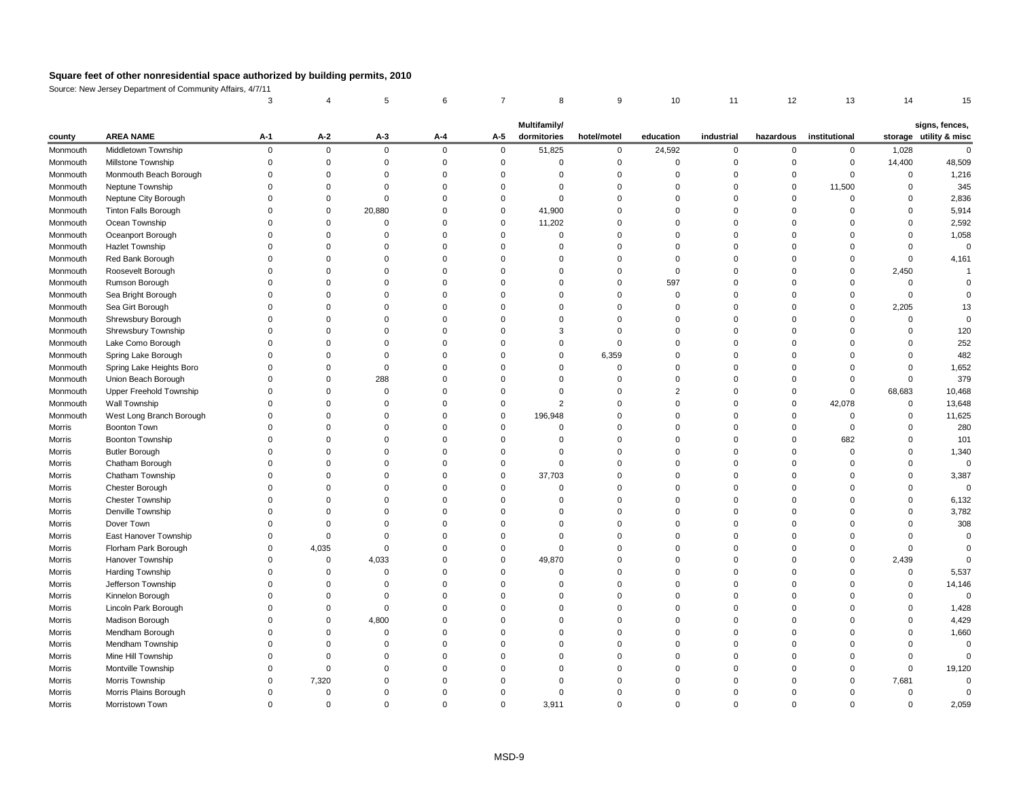Source: New Jersey Department of Community Affairs, 4/7/11

|               |                                |       |                |             |          |             | Multifamily/ |             |           |            |           |               |          | signs, fences,         |
|---------------|--------------------------------|-------|----------------|-------------|----------|-------------|--------------|-------------|-----------|------------|-----------|---------------|----------|------------------------|
| county        | <b>AREA NAME</b>               | $A-1$ | $A-2$          | $A-3$       | $A-4$    | $A-5$       | dormitories  | hotel/motel | education | industrial | hazardous | institutional |          | storage utility & misc |
| Monmouth      | Middletown Township            |       | $\Omega$       | $\mathbf 0$ | $\Omega$ | $\mathbf 0$ | 51,825       | 0           | 24,592    | $\Omega$   | $\Omega$  | 0             | 1,028    |                        |
| Monmouth      | Millstone Township             |       |                |             |          |             |              |             |           |            |           | 0             | 14,400   | 48,509                 |
| Monmouth      | Monmouth Beach Borough         |       |                |             |          |             |              |             |           |            |           | $\Omega$      | $\Omega$ | 1,216                  |
| Monmouth      | Neptune Township               |       |                |             |          |             |              |             |           |            |           | 11,500        |          | 345                    |
| Monmouth      | Neptune City Borough           |       |                |             |          |             |              |             |           |            |           | $\Omega$      |          | 2,836                  |
| Monmouth      | <b>Tinton Falls Borough</b>    |       |                | 20,880      |          | $\Omega$    | 41,900       |             |           |            |           |               |          | 5,914                  |
| Monmouth      | Ocean Township                 |       |                |             |          | $\Omega$    | 11,202       |             |           |            |           |               |          | 2,592                  |
| Monmouth      | Oceanport Borough              |       |                |             |          |             |              |             |           |            |           |               |          | 1,058                  |
| Monmouth      | <b>Hazlet Township</b>         |       |                |             |          |             |              |             |           |            |           |               |          |                        |
| Monmouth      | Red Bank Borough               |       |                |             |          |             |              |             |           |            |           |               |          | 4,161                  |
| Monmouth      | Roosevelt Borough              |       |                |             |          |             |              |             |           |            |           | 0             | 2,450    |                        |
| Monmouth      | Rumson Borough                 |       |                |             |          |             |              |             | 597       |            |           |               |          |                        |
| Monmouth      | Sea Bright Borough             |       |                |             |          |             |              |             |           |            |           |               |          |                        |
| Monmouth      | Sea Girt Borough               |       |                |             |          |             |              |             |           |            |           | $\Omega$      | 2,205    |                        |
| Monmouth      | Shrewsbury Borough             |       |                |             |          |             |              |             |           |            |           |               |          |                        |
| Monmouth      | Shrewsbury Township            |       |                |             |          |             |              |             |           |            |           |               |          | 120                    |
| Monmouth      | Lake Como Borough              |       |                |             |          |             |              |             |           |            |           |               |          | 252                    |
| Monmouth      | Spring Lake Borough            |       |                |             |          |             |              | 6,359       |           |            |           |               |          | 482                    |
| Monmouth      | Spring Lake Heights Boro       |       |                |             |          |             |              |             |           |            |           |               |          | 1,652                  |
| Monmouth      | Union Beach Borough            |       | $\Omega$       | 288         |          |             |              |             |           |            |           | $\Omega$      |          | 379                    |
| Monmouth      | <b>Upper Freehold Township</b> |       |                |             |          |             |              |             |           |            |           | $\Omega$      | 68,683   | 10,468                 |
| Monmouth      | Wall Township                  |       |                |             |          |             |              |             |           |            |           | 42,078        |          | 13,648                 |
| Monmouth      | West Long Branch Borough       |       |                |             |          | $\Omega$    | 196,948      |             |           |            |           |               |          | 11,625                 |
| Morris        | <b>Boonton Town</b>            |       |                |             |          |             |              |             |           |            |           | ∩             |          | 280                    |
| Morris        | <b>Boonton Township</b>        |       |                |             |          |             |              |             |           |            |           | 682           |          | 101                    |
| Morris        | <b>Butler Borough</b>          |       |                |             |          |             |              |             |           |            |           |               |          | 1,340                  |
| Morris        | Chatham Borough                |       |                |             |          |             |              |             |           |            |           |               |          |                        |
| Morris        | Chatham Township               |       |                |             |          |             | 37,703       |             |           |            |           |               |          | 3,387                  |
| Morris        | Chester Borough                |       |                |             |          |             |              |             |           |            |           |               |          |                        |
| Morris        | <b>Chester Township</b>        |       |                |             |          |             |              |             |           |            |           |               |          | 6,132                  |
| Morris        | Denville Township              |       |                |             |          |             |              |             |           |            |           |               |          | 3,782                  |
| Morris        | Dover Town                     |       |                |             |          |             |              |             |           |            |           |               |          | 308                    |
| Morris        | East Hanover Township          |       |                |             |          |             |              |             |           |            |           |               |          |                        |
| Morris        | Florham Park Borough           |       | 4,035          |             |          |             |              |             |           |            |           |               |          |                        |
| Morris        | Hanover Township               |       | $\Omega$       | 4,033       |          | $\Omega$    | 49,870       |             |           |            |           | ∩             | 2,439    |                        |
| Morris        | Harding Township               |       |                |             |          |             |              |             |           |            |           |               |          | 5,537                  |
| Morris        | Jefferson Township             |       |                |             |          |             |              |             |           |            |           |               |          | 14,146                 |
| Morris        | Kinnelon Borough               |       |                |             |          |             |              |             |           |            |           |               |          | 0                      |
| <b>Morris</b> | Lincoln Park Borough           |       |                |             |          |             |              |             |           |            |           |               |          | 1,428                  |
| Morris        | Madison Borough                |       |                | 4,800       |          |             |              |             |           |            |           |               |          | 4,429                  |
| Morris        | Mendham Borough                |       |                |             |          |             |              |             |           |            |           |               |          | 1,660                  |
| Morris        | Mendham Township               |       |                |             |          |             |              |             |           |            |           |               |          |                        |
| Morris        | Mine Hill Township             |       |                |             |          |             |              |             |           |            |           |               |          |                        |
| Morris        | Montville Township             |       |                |             |          |             |              |             |           |            |           |               |          | 19,120                 |
| Morris        | Morris Township                |       | 7,320          |             |          |             |              |             |           |            |           | $\Omega$      | 7,681    |                        |
| Morris        | Morris Plains Borough          |       | 0              |             |          |             |              |             |           |            |           |               |          |                        |
| Morris        | Morristown Town                |       | $\overline{0}$ |             |          | $\mathbf 0$ | 3,911        |             | O         |            |           | $\Omega$      | 0        | 2,059                  |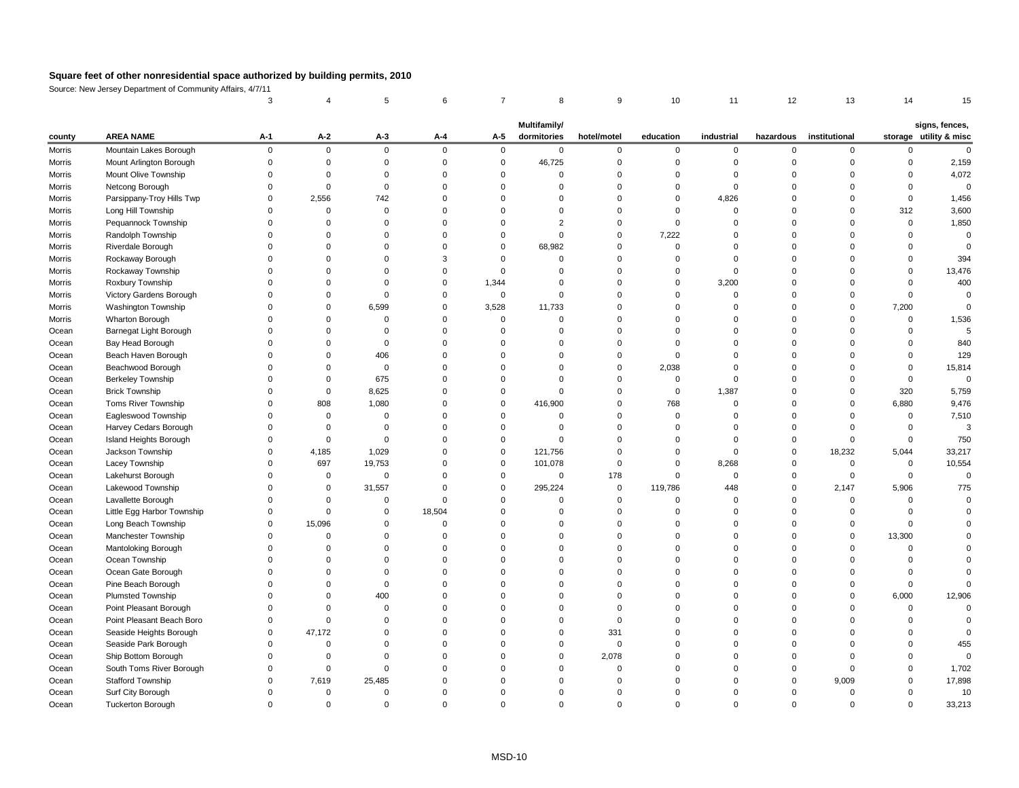Source: New Jersey Department of Community Affairs, 4/7/11

|               |                            |       |                |             |        |             | Multifamily/ |             |             |            |           |               |          | signs, fences,         |
|---------------|----------------------------|-------|----------------|-------------|--------|-------------|--------------|-------------|-------------|------------|-----------|---------------|----------|------------------------|
| county        | <b>AREA NAME</b>           | $A-1$ | $A-2$          | $A-3$       | $A-4$  | $A-5$       | dormitories  | hotel/motel | education   | industrial | hazardous | institutional |          | storage utility & misc |
| Morris        | Mountain Lakes Borough     |       | $\overline{0}$ | $\mathbf 0$ | ∩      | $\mathbf 0$ | $\mathbf 0$  | $\Omega$    | $\mathbf 0$ | $\Omega$   |           | $\Omega$      |          |                        |
| <b>Morris</b> | Mount Arlington Borough    |       |                |             |        |             | 46,725       |             |             |            |           |               |          | 2,159                  |
| <b>Morris</b> | Mount Olive Township       |       |                |             |        |             |              |             |             |            |           |               |          | 4,072                  |
| Morris        | Netcong Borough            |       |                |             |        |             |              |             |             |            |           |               |          |                        |
| <b>Morris</b> | Parsippany-Troy Hills Twp  |       | 2,556          | 742         |        |             |              |             | 0           | 4,826      |           |               |          | 1,456                  |
| <b>Morris</b> | Long Hill Township         |       |                |             |        |             |              |             |             |            |           |               | 312      | 3,600                  |
| <b>Morris</b> | Pequannock Township        |       |                |             |        |             |              |             |             |            |           | $\Omega$      | $\Omega$ | 1,850                  |
| <b>Morris</b> | Randolph Township          |       |                |             |        |             | $\Omega$     |             | 7,222       |            |           |               |          |                        |
| <b>Morris</b> | Riverdale Borough          |       |                |             |        | $\Omega$    | 68,982       |             | ∩           |            |           |               |          |                        |
| <b>Morris</b> | Rockaway Borough           |       |                |             |        |             |              |             |             |            |           |               |          | 394                    |
| <b>Morris</b> | Rockaway Township          |       |                |             |        |             |              |             | 0           | $\Omega$   |           |               |          | 13,476                 |
| <b>Morris</b> | Roxbury Township           |       |                |             |        | 1,344       |              |             | 0           | 3,200      |           |               |          | 400                    |
| <b>Morris</b> | Victory Gardens Borough    |       |                |             |        | $\Omega$    | ∩            |             |             |            |           |               |          |                        |
| <b>Morris</b> | Washington Township        |       |                | 6,599       |        | 3,528       | 11,733       |             |             |            |           | $\Omega$      | 7,200    |                        |
| Morris        | Wharton Borough            |       |                |             |        | $\Omega$    | ∩            |             |             |            |           | $\Omega$      | $\Omega$ | 1,536                  |
| Ocean         | Barnegat Light Borough     |       |                |             |        |             |              |             |             |            |           |               |          |                        |
| Ocean         | Bay Head Borough           |       |                |             |        |             |              |             |             |            |           |               |          | 840                    |
| Ocean         | Beach Haven Borough        |       |                | 406         |        |             |              |             |             |            |           |               |          | 129                    |
| Ocean         | Beachwood Borough          |       |                | $\Omega$    |        |             |              |             | 2,038       |            |           |               |          | 15,814                 |
| Ocean         | <b>Berkeley Township</b>   |       | 0              | 675         |        |             |              |             | $\Omega$    |            |           |               |          |                        |
| Ocean         | <b>Brick Township</b>      |       | $\Omega$       | 8,625       |        |             |              |             | $\mathbf 0$ | 1,387      |           |               | 320      | 5,759                  |
| Ocean         | <b>Toms River Township</b> |       | 808            | 1,080       |        | $\Omega$    | 416,900      |             | 768         |            |           | $\Omega$      | 6,880    | 9,476                  |
| Ocean         | Eagleswood Township        |       | 0              |             |        |             |              |             |             |            |           |               |          | 7,510                  |
| Ocean         | Harvey Cedars Borough      |       |                |             |        |             |              |             |             |            |           |               |          |                        |
| Ocean         | Island Heights Borough     |       |                |             |        |             |              |             |             |            |           |               |          | 750                    |
| Ocean         | Jackson Township           |       | 4,185          | 1,029       |        |             | 121,756      |             |             |            |           | 18,232        | 5,044    | 33,217                 |
| Ocean         | Lacey Township             |       | 697            | 19,753      |        |             | 101,078      |             |             | 8,268      |           | $\Omega$      | $\Omega$ | 10,554                 |
| Ocean         | Lakehurst Borough          |       |                |             |        |             |              | 178         |             |            |           |               |          |                        |
| Ocean         | Lakewood Township          |       |                | 31,557      |        |             | 295,224      | $\mathbf 0$ | 119,786     | 448        |           | 2,147         | 5,906    | 775                    |
| Ocean         | Lavallette Borough         |       |                |             |        |             |              |             | 0           |            |           | $\Omega$      |          |                        |
| Ocean         | Little Egg Harbor Township |       |                |             | 18,504 |             |              |             |             |            |           |               |          |                        |
| Ocean         | Long Beach Township        |       | 15,096         |             |        |             |              |             |             |            |           | $\Omega$      |          |                        |
| Ocean         | Manchester Township        |       |                |             |        |             |              |             |             |            |           | $\Omega$      | 13,300   |                        |
| Ocean         | Mantoloking Borough        |       |                |             |        |             |              |             |             |            |           |               |          |                        |
| Ocean         | Ocean Township             |       |                |             |        |             |              |             |             |            |           |               |          |                        |
| Ocean         | Ocean Gate Borough         |       |                |             |        |             |              |             |             |            |           |               |          |                        |
| Ocean         | Pine Beach Borough         |       |                |             |        |             |              |             |             |            |           |               |          |                        |
| Ocean         | <b>Plumsted Township</b>   |       |                | 400         |        |             |              |             |             |            |           | $\Omega$      | 6,000    | 12,906                 |
| Ocean         | Point Pleasant Borough     |       |                |             |        |             |              |             |             |            |           |               |          |                        |
| Ocean         | Point Pleasant Beach Boro  |       |                |             |        |             |              |             |             |            |           |               |          |                        |
| Ocean         | Seaside Heights Borough    |       | 47,172         |             |        |             |              | 331         |             |            |           |               |          |                        |
| Ocean         | Seaside Park Borough       |       |                |             |        |             |              |             |             |            |           |               |          | 455                    |
| Ocean         | Ship Bottom Borough        |       |                |             |        |             |              | 2,078       |             |            |           |               |          |                        |
| Ocean         | South Toms River Borough   |       |                |             |        |             |              |             |             |            |           |               |          | 1,702                  |
| Ocean         | <b>Stafford Township</b>   |       | 7,619          | 25,485      |        |             |              |             |             |            |           | 9,009         |          | 17,898                 |
| Ocean         | Surf City Borough          |       | 0              |             |        |             |              |             |             |            |           |               |          | 10                     |
| Ocean         | <b>Tuckerton Borough</b>   |       | $\overline{0}$ |             |        |             | 0            | 0           |             |            |           | $\Omega$      |          | 33,213                 |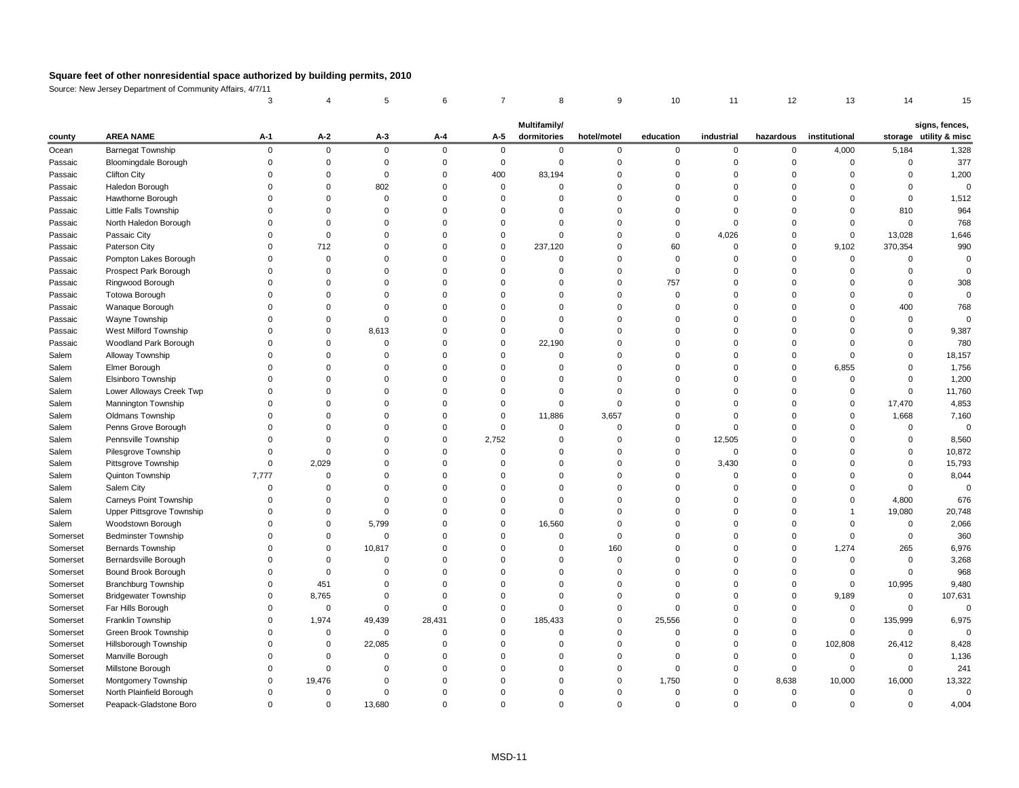Source: New Jersey Department of Community Affairs, 4/7/11

|          |                               | <b>Multifamily/</b> |                |                |          |          |             |             |           |            |           |               |          | signs, fences,         |
|----------|-------------------------------|---------------------|----------------|----------------|----------|----------|-------------|-------------|-----------|------------|-----------|---------------|----------|------------------------|
| county   | <b>AREA NAME</b>              | $A-1$               | $A-2$          | $A-3$          | $A-4$    | $A-5$    | dormitories | hotel/motel | education | industrial | hazardous | institutional |          | storage utility & misc |
| Ocean    | <b>Barnegat Township</b>      | $\Omega$            | $\mathbf 0$    | $\mathbf 0$    | $\Omega$ | $\Omega$ | $\Omega$    | $\Omega$    | $\Omega$  | $\Omega$   | $\Omega$  | 4,000         | 5,184    | 1,328                  |
| Passaic  | <b>Bloomingdale Borough</b>   |                     |                |                |          |          | 0           |             |           |            |           |               |          | 377                    |
| Passaic  | <b>Clifton City</b>           |                     |                | $\Omega$       |          | 400      | 83,194      |             |           |            |           |               |          | 1,200                  |
| Passaic  | Haledon Borough               |                     |                | 802            |          |          |             |             |           |            |           |               |          |                        |
| Passaic  | Hawthorne Borough             |                     |                |                |          |          |             |             |           |            |           |               |          | 1,512                  |
| Passaic  | Little Falls Township         |                     |                |                |          |          |             |             |           |            |           |               | 810      | 964                    |
| Passaic  | North Haledon Borough         |                     |                |                |          |          | ∩           |             |           |            |           |               |          | 768                    |
| Passaic  | Passaic City                  |                     |                |                |          |          | $\Omega$    |             |           | 4,026      |           |               | 13,028   | 1,646                  |
| Passaic  | Paterson City                 |                     | 712            |                |          | $\Omega$ | 237,120     |             | 60        |            |           | 9,102         | 370,354  | 990                    |
| Passaic  | Pompton Lakes Borough         |                     |                |                |          |          |             |             |           |            |           |               |          |                        |
| Passaic  | Prospect Park Borough         |                     |                |                |          |          |             |             |           |            |           |               |          |                        |
| Passaic  | Ringwood Borough              |                     |                |                |          |          |             |             | 757       |            |           |               |          | 308                    |
| Passaic  | <b>Totowa Borough</b>         |                     |                |                |          |          |             |             |           |            |           |               |          |                        |
| Passaic  | Wanaque Borough               |                     |                |                |          |          |             |             |           |            |           |               | 400      | 768                    |
| Passaic  | Wayne Township                |                     |                |                |          |          | ∩           |             |           |            |           |               |          |                        |
| Passaic  | <b>West Milford Township</b>  |                     |                | 8,613          |          |          | $\Omega$    |             |           |            |           |               |          | 9,387                  |
| Passaic  | Woodland Park Borough         |                     |                |                |          |          | 22,190      |             |           |            |           |               |          | 780                    |
| Salem    | <b>Alloway Township</b>       |                     |                |                |          |          |             |             |           |            |           |               |          | 18,157                 |
| Salem    | Elmer Borough                 |                     |                |                |          |          |             |             |           |            |           | 6,855         |          | 1,756                  |
| Salem    | Elsinboro Township            |                     |                |                |          |          |             |             |           |            |           |               |          | 1,200                  |
| Salem    | Lower Alloways Creek Twp      |                     |                |                |          |          |             |             |           |            |           |               |          | 11,760                 |
| Salem    | Mannington Township           |                     |                |                |          |          |             |             |           |            |           |               | 17,470   | 4,853                  |
| Salem    | <b>Oldmans Township</b>       |                     |                |                |          |          | 11,886      | 3,657       |           |            |           |               | 1,668    | 7,160                  |
| Salem    | Penns Grove Borough           |                     |                |                |          |          |             |             |           |            |           |               |          |                        |
| Salem    | Pennsville Township           |                     |                |                |          | 2,752    |             |             |           | 12,505     |           |               |          | 8,560                  |
| Salem    | Pilesgrove Township           |                     |                |                |          |          |             |             |           |            |           |               |          | 10,872                 |
| Salem    | Pittsgrove Township           |                     | 2,029          |                |          |          | $\Omega$    |             |           | 3,430      |           |               |          | 15,793                 |
| Salem    | Quinton Township              | 7,777               |                |                |          |          |             |             |           |            |           |               |          | 8,044                  |
| Salem    | Salem City                    |                     |                |                |          |          |             |             |           |            |           |               |          |                        |
| Salem    | <b>Carneys Point Township</b> |                     |                |                |          |          |             |             |           |            |           |               | 4,800    | 676                    |
| Salem    | Upper Pittsgrove Township     |                     |                |                |          |          |             |             |           |            |           |               | 19,080   | 20,748                 |
| Salem    | Woodstown Borough             |                     |                | 5,799          |          |          | 16,560      |             |           |            |           |               | $\Omega$ | 2,066                  |
| Somerset | <b>Bedminster Township</b>    |                     |                | $\Omega$       |          |          |             |             |           |            |           |               |          | 360                    |
| Somerset | <b>Bernards Township</b>      |                     |                | 10,817         |          |          |             | 160         |           |            |           | 1,274         | 265      | 6,976                  |
| Somerset | Bernardsville Borough         |                     |                |                |          |          |             | ∩           |           |            |           |               |          | 3,268                  |
| Somerset | Bound Brook Borough           |                     |                |                |          |          |             |             |           |            |           |               |          | 968                    |
| Somerset | Branchburg Township           |                     | 451            |                |          |          |             |             |           |            |           |               | 10,995   | 9,480                  |
| Somerset | <b>Bridgewater Township</b>   |                     | 8,765          |                |          |          |             |             |           |            |           | 9,189         | $\Omega$ | 107,631                |
| Somerset | Far Hills Borough             |                     | 0              |                |          |          |             |             |           |            |           | $\Omega$      |          |                        |
| Somerset | Franklin Township             |                     | 1,974          | 49,439         | 28,431   |          | 185,433     |             | 25,556    |            |           | $\Omega$      | 135,999  | 6,975                  |
| Somerset | Green Brook Township          |                     |                | $\overline{0}$ |          |          |             |             |           |            |           |               | $\Omega$ |                        |
| Somerset | Hillsborough Township         |                     | 0              | 22,085         |          |          |             |             |           |            |           | 102,808       | 26,412   | 8,428                  |
| Somerset | Manville Borough              |                     |                |                |          |          |             |             |           |            |           |               |          | 1,136                  |
| Somerset | Millstone Borough             |                     |                |                |          |          |             |             |           |            |           |               |          | 241                    |
| Somerset | Montgomery Township           |                     | 19,476         |                |          |          |             |             | 1,750     |            | 8,638     | 10,000        | 16,000   | 13,322                 |
| Somerset | North Plainfield Borough      |                     |                |                |          |          |             |             |           |            | 0         |               |          | 0                      |
| Somerset | Peapack-Gladstone Boro        | 0                   | $\overline{0}$ | 13,680         |          |          | $\Omega$    |             |           |            |           |               | $\Omega$ | 4,004                  |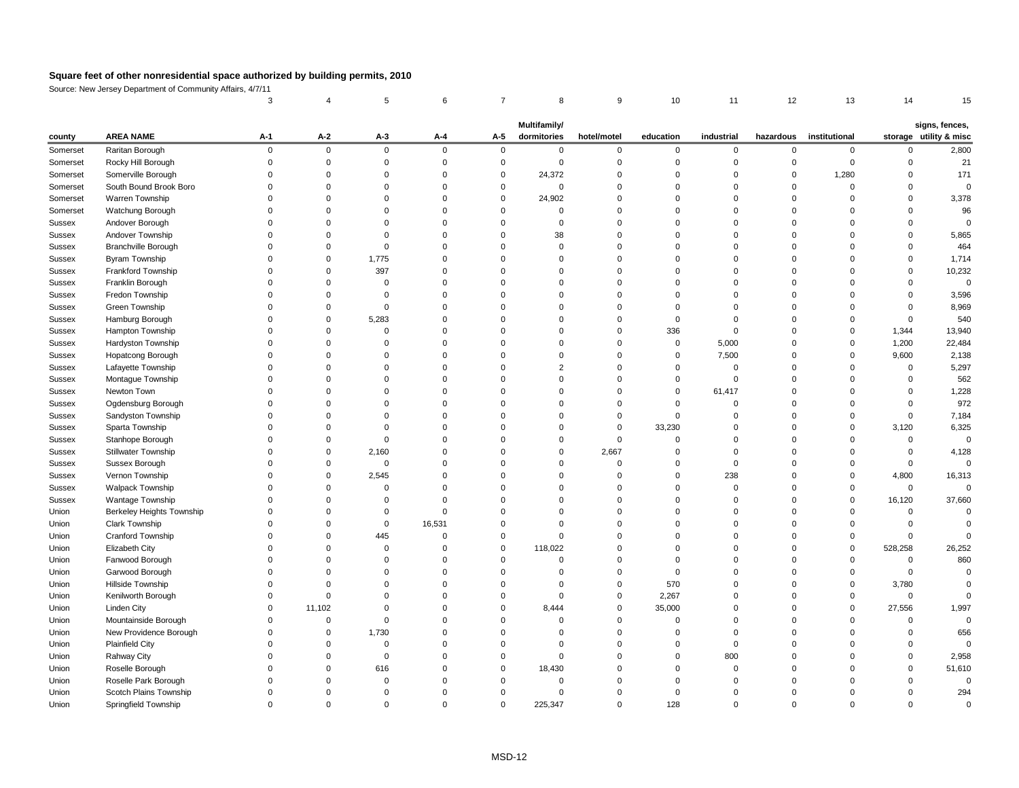Source: New Jersey Department of Community Affairs, 4/7/11

| <b>AREA NAME</b><br>storage utility & misc<br>$A-1$<br>$A-2$<br>$A-3$<br>dormitories<br>$A-4$<br>$A-5$<br>hotel/motel<br>education<br>industrial<br>hazardous<br>institutional<br>county<br>Raritan Borough<br>$\overline{0}$<br>Somerset<br>$\Omega$<br>$\mathbf 0$<br>$\mathbf 0$<br>$\Omega$<br>$\Omega$<br>$\Omega$<br>$\Omega$<br>$\Omega$<br>0<br>$\Omega$<br>Rocky Hill Borough<br>Somerset<br>$\Omega$<br>Somerville Borough<br>24,372<br>1,280<br>Somerset<br>$\Omega$<br>South Bound Brook Boro<br>Somerset<br>$\Omega$<br>24,902<br>Warren Township<br>Somerset<br>Watchung Borough<br>Somerset<br>$\Omega$<br>Andover Borough<br><b>Sussex</b><br>$\Omega$<br>Andover Township<br>38<br>Sussex<br><b>Branchville Borough</b><br><b>Sussex</b><br>$\Omega$<br><b>Byram Township</b><br>1,775<br>Sussex<br>0<br>0<br>Frankford Township<br>397<br><b>Sussex</b><br>Franklin Borough<br>Sussex<br>Fredon Township<br>Sussex<br>Green Township<br>Sussex<br>Hamburg Borough<br>5,283<br>Sussex<br>Hampton Township<br>336<br>1,344<br>Sussex<br>Hardyston Township<br>5,000<br>1,200<br>Sussex<br>0<br>Hopatcong Borough<br>7,500<br>9,600<br>Sussex<br>Lafayette Township<br>Sussex<br>Montague Township<br><b>Sussex</b><br>Newton Town<br>61,417<br>Sussex<br>Ogdensburg Borough<br><b>Sussex</b><br>Sandyston Township<br><b>Sussex</b><br>Sparta Township<br>33,230<br>3,120<br>Sussex<br>Stanhope Borough<br>Sussex<br><b>Stillwater Township</b><br>2,160<br>2,667<br><b>Sussex</b><br>Sussex Borough<br><b>Sussex</b><br>$\Omega$<br>$\Omega$<br>$\Omega$<br>0<br>Vernon Township<br>Sussex<br>2,545<br>238<br>4,800<br><b>Walpack Township</b><br>Sussex<br>$\mathbf 0$<br>Wantage Township<br>Sussex<br>16,120<br>Berkeley Heights Township<br>Union<br><b>Clark Township</b><br>Union<br>16,531<br>Cranford Township<br>445<br>Union<br>Elizabeth City<br>118,022<br>528,258<br>Union<br>Fanwood Borough<br>Union<br>$\Omega$<br>Garwood Borough<br>Union<br>Hillside Township<br>570<br>3,780<br>Union<br>Kenilworth Borough<br>2,267<br>Union<br>$\Omega$<br>0<br>∩<br><b>Linden City</b><br>11,102<br>35,000<br>8,444<br>27,556<br>Union<br>$\Omega$<br>Mountainside Borough<br>Union<br>New Providence Borough<br>1,730<br>Union<br>0<br><b>Plainfield City</b><br>Union<br><b>Rahway City</b><br>800<br>Union<br>Roselle Borough<br>18,430<br>Union<br>616<br>Roselle Park Borough<br>Union<br>Scotch Plains Township<br>Union<br>$\Omega$<br>$\Omega$ |       |                      |              |   |  |   |          |         |   |     |  |          |  |                |        |
|--------------------------------------------------------------------------------------------------------------------------------------------------------------------------------------------------------------------------------------------------------------------------------------------------------------------------------------------------------------------------------------------------------------------------------------------------------------------------------------------------------------------------------------------------------------------------------------------------------------------------------------------------------------------------------------------------------------------------------------------------------------------------------------------------------------------------------------------------------------------------------------------------------------------------------------------------------------------------------------------------------------------------------------------------------------------------------------------------------------------------------------------------------------------------------------------------------------------------------------------------------------------------------------------------------------------------------------------------------------------------------------------------------------------------------------------------------------------------------------------------------------------------------------------------------------------------------------------------------------------------------------------------------------------------------------------------------------------------------------------------------------------------------------------------------------------------------------------------------------------------------------------------------------------------------------------------------------------------------------------------------------------------------------------------------------------------------------------------------------------------------------------------------------------------------------------------------------------------------------------------------------------------------------------------------------------------------------------------------------------------------------------------------------------------------------------------------------------------------|-------|----------------------|--------------|---|--|---|----------|---------|---|-----|--|----------|--|----------------|--------|
|                                                                                                                                                                                                                                                                                                                                                                                                                                                                                                                                                                                                                                                                                                                                                                                                                                                                                                                                                                                                                                                                                                                                                                                                                                                                                                                                                                                                                                                                                                                                                                                                                                                                                                                                                                                                                                                                                                                                                                                                                                                                                                                                                                                                                                                                                                                                                                                                                                                                                |       |                      | Multifamily/ |   |  |   |          |         |   |     |  |          |  | signs, fences, |        |
|                                                                                                                                                                                                                                                                                                                                                                                                                                                                                                                                                                                                                                                                                                                                                                                                                                                                                                                                                                                                                                                                                                                                                                                                                                                                                                                                                                                                                                                                                                                                                                                                                                                                                                                                                                                                                                                                                                                                                                                                                                                                                                                                                                                                                                                                                                                                                                                                                                                                                |       |                      |              |   |  |   |          |         |   |     |  |          |  |                | 2,800  |
|                                                                                                                                                                                                                                                                                                                                                                                                                                                                                                                                                                                                                                                                                                                                                                                                                                                                                                                                                                                                                                                                                                                                                                                                                                                                                                                                                                                                                                                                                                                                                                                                                                                                                                                                                                                                                                                                                                                                                                                                                                                                                                                                                                                                                                                                                                                                                                                                                                                                                |       |                      |              |   |  |   |          |         |   |     |  |          |  |                | 21     |
|                                                                                                                                                                                                                                                                                                                                                                                                                                                                                                                                                                                                                                                                                                                                                                                                                                                                                                                                                                                                                                                                                                                                                                                                                                                                                                                                                                                                                                                                                                                                                                                                                                                                                                                                                                                                                                                                                                                                                                                                                                                                                                                                                                                                                                                                                                                                                                                                                                                                                |       |                      |              |   |  |   |          |         |   |     |  |          |  |                | 171    |
|                                                                                                                                                                                                                                                                                                                                                                                                                                                                                                                                                                                                                                                                                                                                                                                                                                                                                                                                                                                                                                                                                                                                                                                                                                                                                                                                                                                                                                                                                                                                                                                                                                                                                                                                                                                                                                                                                                                                                                                                                                                                                                                                                                                                                                                                                                                                                                                                                                                                                |       |                      |              |   |  |   |          |         |   |     |  |          |  |                |        |
|                                                                                                                                                                                                                                                                                                                                                                                                                                                                                                                                                                                                                                                                                                                                                                                                                                                                                                                                                                                                                                                                                                                                                                                                                                                                                                                                                                                                                                                                                                                                                                                                                                                                                                                                                                                                                                                                                                                                                                                                                                                                                                                                                                                                                                                                                                                                                                                                                                                                                |       |                      |              |   |  |   |          |         |   |     |  |          |  |                | 3,378  |
|                                                                                                                                                                                                                                                                                                                                                                                                                                                                                                                                                                                                                                                                                                                                                                                                                                                                                                                                                                                                                                                                                                                                                                                                                                                                                                                                                                                                                                                                                                                                                                                                                                                                                                                                                                                                                                                                                                                                                                                                                                                                                                                                                                                                                                                                                                                                                                                                                                                                                |       |                      |              |   |  |   |          |         |   |     |  |          |  |                | 96     |
|                                                                                                                                                                                                                                                                                                                                                                                                                                                                                                                                                                                                                                                                                                                                                                                                                                                                                                                                                                                                                                                                                                                                                                                                                                                                                                                                                                                                                                                                                                                                                                                                                                                                                                                                                                                                                                                                                                                                                                                                                                                                                                                                                                                                                                                                                                                                                                                                                                                                                |       |                      |              |   |  |   |          |         |   |     |  |          |  |                |        |
|                                                                                                                                                                                                                                                                                                                                                                                                                                                                                                                                                                                                                                                                                                                                                                                                                                                                                                                                                                                                                                                                                                                                                                                                                                                                                                                                                                                                                                                                                                                                                                                                                                                                                                                                                                                                                                                                                                                                                                                                                                                                                                                                                                                                                                                                                                                                                                                                                                                                                |       |                      |              |   |  |   |          |         |   |     |  |          |  |                | 5,865  |
|                                                                                                                                                                                                                                                                                                                                                                                                                                                                                                                                                                                                                                                                                                                                                                                                                                                                                                                                                                                                                                                                                                                                                                                                                                                                                                                                                                                                                                                                                                                                                                                                                                                                                                                                                                                                                                                                                                                                                                                                                                                                                                                                                                                                                                                                                                                                                                                                                                                                                |       |                      |              |   |  |   |          |         |   |     |  |          |  |                | 464    |
|                                                                                                                                                                                                                                                                                                                                                                                                                                                                                                                                                                                                                                                                                                                                                                                                                                                                                                                                                                                                                                                                                                                                                                                                                                                                                                                                                                                                                                                                                                                                                                                                                                                                                                                                                                                                                                                                                                                                                                                                                                                                                                                                                                                                                                                                                                                                                                                                                                                                                |       |                      |              |   |  |   |          |         |   |     |  |          |  |                | 1,714  |
|                                                                                                                                                                                                                                                                                                                                                                                                                                                                                                                                                                                                                                                                                                                                                                                                                                                                                                                                                                                                                                                                                                                                                                                                                                                                                                                                                                                                                                                                                                                                                                                                                                                                                                                                                                                                                                                                                                                                                                                                                                                                                                                                                                                                                                                                                                                                                                                                                                                                                |       |                      |              |   |  |   |          |         |   |     |  |          |  |                | 10,232 |
|                                                                                                                                                                                                                                                                                                                                                                                                                                                                                                                                                                                                                                                                                                                                                                                                                                                                                                                                                                                                                                                                                                                                                                                                                                                                                                                                                                                                                                                                                                                                                                                                                                                                                                                                                                                                                                                                                                                                                                                                                                                                                                                                                                                                                                                                                                                                                                                                                                                                                |       |                      |              |   |  |   |          |         |   |     |  |          |  |                |        |
|                                                                                                                                                                                                                                                                                                                                                                                                                                                                                                                                                                                                                                                                                                                                                                                                                                                                                                                                                                                                                                                                                                                                                                                                                                                                                                                                                                                                                                                                                                                                                                                                                                                                                                                                                                                                                                                                                                                                                                                                                                                                                                                                                                                                                                                                                                                                                                                                                                                                                |       |                      |              |   |  |   |          |         |   |     |  |          |  |                | 3,596  |
|                                                                                                                                                                                                                                                                                                                                                                                                                                                                                                                                                                                                                                                                                                                                                                                                                                                                                                                                                                                                                                                                                                                                                                                                                                                                                                                                                                                                                                                                                                                                                                                                                                                                                                                                                                                                                                                                                                                                                                                                                                                                                                                                                                                                                                                                                                                                                                                                                                                                                |       |                      |              |   |  |   |          |         |   |     |  |          |  |                | 8,969  |
|                                                                                                                                                                                                                                                                                                                                                                                                                                                                                                                                                                                                                                                                                                                                                                                                                                                                                                                                                                                                                                                                                                                                                                                                                                                                                                                                                                                                                                                                                                                                                                                                                                                                                                                                                                                                                                                                                                                                                                                                                                                                                                                                                                                                                                                                                                                                                                                                                                                                                |       |                      |              |   |  |   |          |         |   |     |  |          |  |                | 540    |
|                                                                                                                                                                                                                                                                                                                                                                                                                                                                                                                                                                                                                                                                                                                                                                                                                                                                                                                                                                                                                                                                                                                                                                                                                                                                                                                                                                                                                                                                                                                                                                                                                                                                                                                                                                                                                                                                                                                                                                                                                                                                                                                                                                                                                                                                                                                                                                                                                                                                                |       |                      |              |   |  |   |          |         |   |     |  |          |  |                | 13,940 |
|                                                                                                                                                                                                                                                                                                                                                                                                                                                                                                                                                                                                                                                                                                                                                                                                                                                                                                                                                                                                                                                                                                                                                                                                                                                                                                                                                                                                                                                                                                                                                                                                                                                                                                                                                                                                                                                                                                                                                                                                                                                                                                                                                                                                                                                                                                                                                                                                                                                                                |       |                      |              |   |  |   |          |         |   |     |  |          |  |                | 22,484 |
|                                                                                                                                                                                                                                                                                                                                                                                                                                                                                                                                                                                                                                                                                                                                                                                                                                                                                                                                                                                                                                                                                                                                                                                                                                                                                                                                                                                                                                                                                                                                                                                                                                                                                                                                                                                                                                                                                                                                                                                                                                                                                                                                                                                                                                                                                                                                                                                                                                                                                |       |                      |              |   |  |   |          |         |   |     |  |          |  |                | 2,138  |
|                                                                                                                                                                                                                                                                                                                                                                                                                                                                                                                                                                                                                                                                                                                                                                                                                                                                                                                                                                                                                                                                                                                                                                                                                                                                                                                                                                                                                                                                                                                                                                                                                                                                                                                                                                                                                                                                                                                                                                                                                                                                                                                                                                                                                                                                                                                                                                                                                                                                                |       |                      |              |   |  |   |          |         |   |     |  |          |  |                | 5,297  |
|                                                                                                                                                                                                                                                                                                                                                                                                                                                                                                                                                                                                                                                                                                                                                                                                                                                                                                                                                                                                                                                                                                                                                                                                                                                                                                                                                                                                                                                                                                                                                                                                                                                                                                                                                                                                                                                                                                                                                                                                                                                                                                                                                                                                                                                                                                                                                                                                                                                                                |       |                      |              |   |  |   |          |         |   |     |  |          |  |                | 562    |
|                                                                                                                                                                                                                                                                                                                                                                                                                                                                                                                                                                                                                                                                                                                                                                                                                                                                                                                                                                                                                                                                                                                                                                                                                                                                                                                                                                                                                                                                                                                                                                                                                                                                                                                                                                                                                                                                                                                                                                                                                                                                                                                                                                                                                                                                                                                                                                                                                                                                                |       |                      |              |   |  |   |          |         |   |     |  |          |  |                | 1,228  |
|                                                                                                                                                                                                                                                                                                                                                                                                                                                                                                                                                                                                                                                                                                                                                                                                                                                                                                                                                                                                                                                                                                                                                                                                                                                                                                                                                                                                                                                                                                                                                                                                                                                                                                                                                                                                                                                                                                                                                                                                                                                                                                                                                                                                                                                                                                                                                                                                                                                                                |       |                      |              |   |  |   |          |         |   |     |  |          |  |                | 972    |
|                                                                                                                                                                                                                                                                                                                                                                                                                                                                                                                                                                                                                                                                                                                                                                                                                                                                                                                                                                                                                                                                                                                                                                                                                                                                                                                                                                                                                                                                                                                                                                                                                                                                                                                                                                                                                                                                                                                                                                                                                                                                                                                                                                                                                                                                                                                                                                                                                                                                                |       |                      |              |   |  |   |          |         |   |     |  |          |  |                | 7,184  |
|                                                                                                                                                                                                                                                                                                                                                                                                                                                                                                                                                                                                                                                                                                                                                                                                                                                                                                                                                                                                                                                                                                                                                                                                                                                                                                                                                                                                                                                                                                                                                                                                                                                                                                                                                                                                                                                                                                                                                                                                                                                                                                                                                                                                                                                                                                                                                                                                                                                                                |       |                      |              |   |  |   |          |         |   |     |  |          |  |                | 6,325  |
|                                                                                                                                                                                                                                                                                                                                                                                                                                                                                                                                                                                                                                                                                                                                                                                                                                                                                                                                                                                                                                                                                                                                                                                                                                                                                                                                                                                                                                                                                                                                                                                                                                                                                                                                                                                                                                                                                                                                                                                                                                                                                                                                                                                                                                                                                                                                                                                                                                                                                |       |                      |              |   |  |   |          |         |   |     |  |          |  |                |        |
|                                                                                                                                                                                                                                                                                                                                                                                                                                                                                                                                                                                                                                                                                                                                                                                                                                                                                                                                                                                                                                                                                                                                                                                                                                                                                                                                                                                                                                                                                                                                                                                                                                                                                                                                                                                                                                                                                                                                                                                                                                                                                                                                                                                                                                                                                                                                                                                                                                                                                |       |                      |              |   |  |   |          |         |   |     |  |          |  |                | 4,128  |
|                                                                                                                                                                                                                                                                                                                                                                                                                                                                                                                                                                                                                                                                                                                                                                                                                                                                                                                                                                                                                                                                                                                                                                                                                                                                                                                                                                                                                                                                                                                                                                                                                                                                                                                                                                                                                                                                                                                                                                                                                                                                                                                                                                                                                                                                                                                                                                                                                                                                                |       |                      |              |   |  |   |          |         |   |     |  |          |  |                | 0      |
|                                                                                                                                                                                                                                                                                                                                                                                                                                                                                                                                                                                                                                                                                                                                                                                                                                                                                                                                                                                                                                                                                                                                                                                                                                                                                                                                                                                                                                                                                                                                                                                                                                                                                                                                                                                                                                                                                                                                                                                                                                                                                                                                                                                                                                                                                                                                                                                                                                                                                |       |                      |              |   |  |   |          |         |   |     |  |          |  |                | 16,313 |
|                                                                                                                                                                                                                                                                                                                                                                                                                                                                                                                                                                                                                                                                                                                                                                                                                                                                                                                                                                                                                                                                                                                                                                                                                                                                                                                                                                                                                                                                                                                                                                                                                                                                                                                                                                                                                                                                                                                                                                                                                                                                                                                                                                                                                                                                                                                                                                                                                                                                                |       |                      |              |   |  |   |          |         |   |     |  |          |  |                | 0      |
|                                                                                                                                                                                                                                                                                                                                                                                                                                                                                                                                                                                                                                                                                                                                                                                                                                                                                                                                                                                                                                                                                                                                                                                                                                                                                                                                                                                                                                                                                                                                                                                                                                                                                                                                                                                                                                                                                                                                                                                                                                                                                                                                                                                                                                                                                                                                                                                                                                                                                |       |                      |              |   |  |   |          |         |   |     |  |          |  |                | 37,660 |
|                                                                                                                                                                                                                                                                                                                                                                                                                                                                                                                                                                                                                                                                                                                                                                                                                                                                                                                                                                                                                                                                                                                                                                                                                                                                                                                                                                                                                                                                                                                                                                                                                                                                                                                                                                                                                                                                                                                                                                                                                                                                                                                                                                                                                                                                                                                                                                                                                                                                                |       |                      |              |   |  |   |          |         |   |     |  |          |  |                |        |
|                                                                                                                                                                                                                                                                                                                                                                                                                                                                                                                                                                                                                                                                                                                                                                                                                                                                                                                                                                                                                                                                                                                                                                                                                                                                                                                                                                                                                                                                                                                                                                                                                                                                                                                                                                                                                                                                                                                                                                                                                                                                                                                                                                                                                                                                                                                                                                                                                                                                                |       |                      |              |   |  |   |          |         |   |     |  |          |  |                |        |
|                                                                                                                                                                                                                                                                                                                                                                                                                                                                                                                                                                                                                                                                                                                                                                                                                                                                                                                                                                                                                                                                                                                                                                                                                                                                                                                                                                                                                                                                                                                                                                                                                                                                                                                                                                                                                                                                                                                                                                                                                                                                                                                                                                                                                                                                                                                                                                                                                                                                                |       |                      |              |   |  |   |          |         |   |     |  |          |  |                |        |
|                                                                                                                                                                                                                                                                                                                                                                                                                                                                                                                                                                                                                                                                                                                                                                                                                                                                                                                                                                                                                                                                                                                                                                                                                                                                                                                                                                                                                                                                                                                                                                                                                                                                                                                                                                                                                                                                                                                                                                                                                                                                                                                                                                                                                                                                                                                                                                                                                                                                                |       |                      |              |   |  |   |          |         |   |     |  |          |  |                | 26,252 |
|                                                                                                                                                                                                                                                                                                                                                                                                                                                                                                                                                                                                                                                                                                                                                                                                                                                                                                                                                                                                                                                                                                                                                                                                                                                                                                                                                                                                                                                                                                                                                                                                                                                                                                                                                                                                                                                                                                                                                                                                                                                                                                                                                                                                                                                                                                                                                                                                                                                                                |       |                      |              |   |  |   |          |         |   |     |  |          |  |                | 860    |
|                                                                                                                                                                                                                                                                                                                                                                                                                                                                                                                                                                                                                                                                                                                                                                                                                                                                                                                                                                                                                                                                                                                                                                                                                                                                                                                                                                                                                                                                                                                                                                                                                                                                                                                                                                                                                                                                                                                                                                                                                                                                                                                                                                                                                                                                                                                                                                                                                                                                                |       |                      |              |   |  |   |          |         |   |     |  |          |  |                |        |
|                                                                                                                                                                                                                                                                                                                                                                                                                                                                                                                                                                                                                                                                                                                                                                                                                                                                                                                                                                                                                                                                                                                                                                                                                                                                                                                                                                                                                                                                                                                                                                                                                                                                                                                                                                                                                                                                                                                                                                                                                                                                                                                                                                                                                                                                                                                                                                                                                                                                                |       |                      |              |   |  |   |          |         |   |     |  |          |  |                |        |
|                                                                                                                                                                                                                                                                                                                                                                                                                                                                                                                                                                                                                                                                                                                                                                                                                                                                                                                                                                                                                                                                                                                                                                                                                                                                                                                                                                                                                                                                                                                                                                                                                                                                                                                                                                                                                                                                                                                                                                                                                                                                                                                                                                                                                                                                                                                                                                                                                                                                                |       |                      |              |   |  |   |          |         |   |     |  |          |  |                |        |
|                                                                                                                                                                                                                                                                                                                                                                                                                                                                                                                                                                                                                                                                                                                                                                                                                                                                                                                                                                                                                                                                                                                                                                                                                                                                                                                                                                                                                                                                                                                                                                                                                                                                                                                                                                                                                                                                                                                                                                                                                                                                                                                                                                                                                                                                                                                                                                                                                                                                                |       |                      |              |   |  |   |          |         |   |     |  |          |  |                | 1,997  |
|                                                                                                                                                                                                                                                                                                                                                                                                                                                                                                                                                                                                                                                                                                                                                                                                                                                                                                                                                                                                                                                                                                                                                                                                                                                                                                                                                                                                                                                                                                                                                                                                                                                                                                                                                                                                                                                                                                                                                                                                                                                                                                                                                                                                                                                                                                                                                                                                                                                                                |       |                      |              |   |  |   |          |         |   |     |  |          |  |                | 0      |
|                                                                                                                                                                                                                                                                                                                                                                                                                                                                                                                                                                                                                                                                                                                                                                                                                                                                                                                                                                                                                                                                                                                                                                                                                                                                                                                                                                                                                                                                                                                                                                                                                                                                                                                                                                                                                                                                                                                                                                                                                                                                                                                                                                                                                                                                                                                                                                                                                                                                                |       |                      |              |   |  |   |          |         |   |     |  |          |  |                | 656    |
|                                                                                                                                                                                                                                                                                                                                                                                                                                                                                                                                                                                                                                                                                                                                                                                                                                                                                                                                                                                                                                                                                                                                                                                                                                                                                                                                                                                                                                                                                                                                                                                                                                                                                                                                                                                                                                                                                                                                                                                                                                                                                                                                                                                                                                                                                                                                                                                                                                                                                |       |                      |              |   |  |   |          |         |   |     |  |          |  |                |        |
|                                                                                                                                                                                                                                                                                                                                                                                                                                                                                                                                                                                                                                                                                                                                                                                                                                                                                                                                                                                                                                                                                                                                                                                                                                                                                                                                                                                                                                                                                                                                                                                                                                                                                                                                                                                                                                                                                                                                                                                                                                                                                                                                                                                                                                                                                                                                                                                                                                                                                |       |                      |              |   |  |   |          |         |   |     |  |          |  |                | 2,958  |
|                                                                                                                                                                                                                                                                                                                                                                                                                                                                                                                                                                                                                                                                                                                                                                                                                                                                                                                                                                                                                                                                                                                                                                                                                                                                                                                                                                                                                                                                                                                                                                                                                                                                                                                                                                                                                                                                                                                                                                                                                                                                                                                                                                                                                                                                                                                                                                                                                                                                                |       |                      |              |   |  |   |          |         |   |     |  |          |  |                | 51,610 |
|                                                                                                                                                                                                                                                                                                                                                                                                                                                                                                                                                                                                                                                                                                                                                                                                                                                                                                                                                                                                                                                                                                                                                                                                                                                                                                                                                                                                                                                                                                                                                                                                                                                                                                                                                                                                                                                                                                                                                                                                                                                                                                                                                                                                                                                                                                                                                                                                                                                                                |       |                      |              |   |  |   |          |         |   |     |  |          |  |                |        |
|                                                                                                                                                                                                                                                                                                                                                                                                                                                                                                                                                                                                                                                                                                                                                                                                                                                                                                                                                                                                                                                                                                                                                                                                                                                                                                                                                                                                                                                                                                                                                                                                                                                                                                                                                                                                                                                                                                                                                                                                                                                                                                                                                                                                                                                                                                                                                                                                                                                                                |       |                      |              |   |  |   |          |         |   |     |  |          |  |                | 294    |
|                                                                                                                                                                                                                                                                                                                                                                                                                                                                                                                                                                                                                                                                                                                                                                                                                                                                                                                                                                                                                                                                                                                                                                                                                                                                                                                                                                                                                                                                                                                                                                                                                                                                                                                                                                                                                                                                                                                                                                                                                                                                                                                                                                                                                                                                                                                                                                                                                                                                                | Union | Springfield Township | 0            | 0 |  | 0 | $\Omega$ | 225,347 | 0 | 128 |  | $\Omega$ |  |                | 0      |